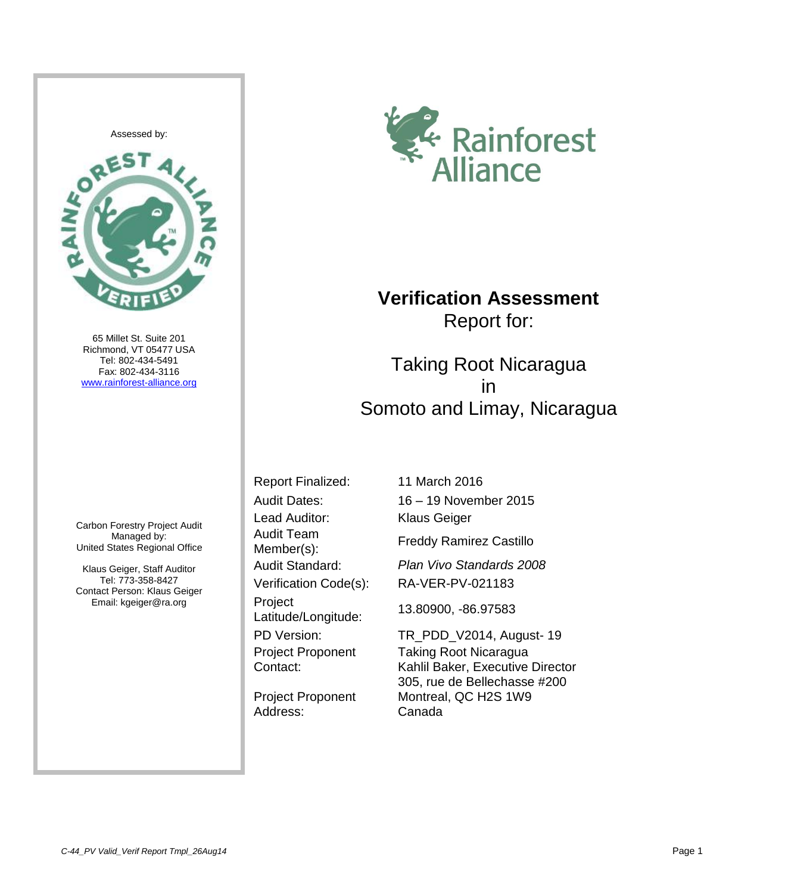

65 Millet St. Suite 201 Richmond, VT 05477 USA Tel: 802-434-5491 Fax: 802-434-3116 [www.rainforest-alliance.org](http://www.rainforest-alliance.org/)

Carbon Forestry Project Audit Managed by: United States Regional Office

Klaus Geiger, Staff Auditor Tel: 773-358-8427 Contact Person: Klaus Geiger Email: kgeiger@ra.org



## **Verification Assessment** Report for:

Taking Root Nicaragua in Somoto and Limay, Nicaragua

Lead Auditor: Klaus Geiger Audit Team Member(s): Verification Code(s): RA-VER-PV-021183 Project Latitude/Longitude: 13.80900, -86.97583 Project Proponent Contact:

Project Proponent Address:

Report Finalized: 11 March 2016 Audit Dates: 16 – 19 November 2015

Freddy Ramirez Castillo

Audit Standard: *Plan Vivo Standards 2008*

PD Version: TR\_PDD\_V2014, August- 19 Taking Root Nicaragua Kahlil Baker, Executive Director 305, rue de Bellechasse #200 Montreal, QC H2S 1W9 Canada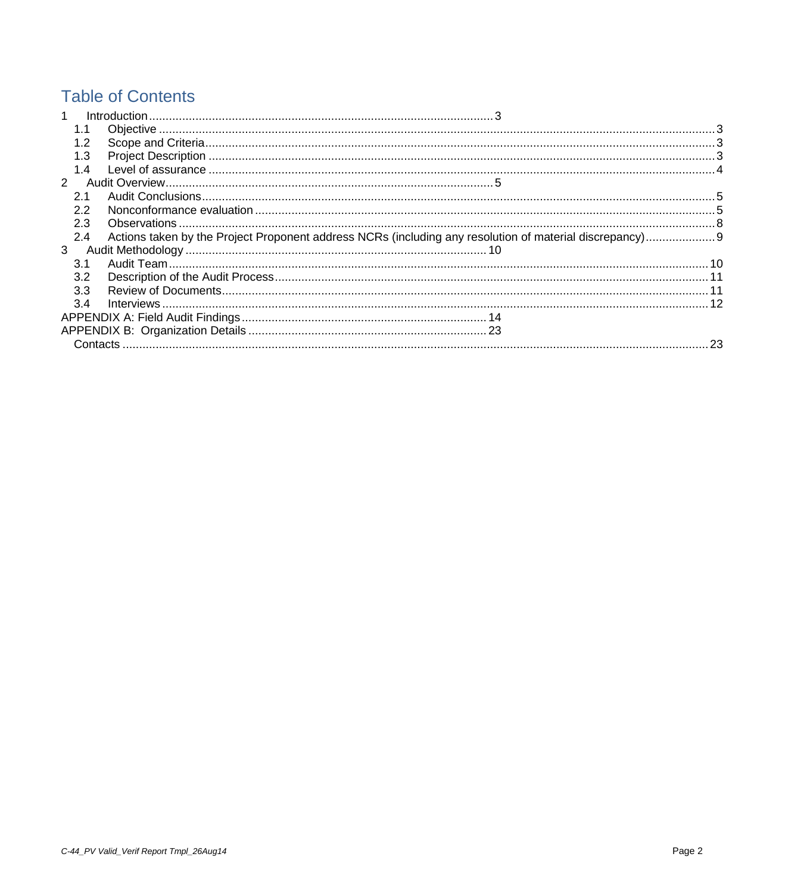# **Table of Contents**

| $\blacktriangleleft$ |     |     |
|----------------------|-----|-----|
|                      |     |     |
|                      |     |     |
|                      | 1.3 |     |
|                      | 1.4 |     |
| $\mathcal{P}$        |     |     |
|                      | 2.1 |     |
|                      | 22  |     |
|                      | 2.3 |     |
|                      | 2.4 |     |
| 3                    |     |     |
|                      | 3.1 |     |
|                      | 3.2 |     |
|                      | 3.3 |     |
|                      | 3.4 |     |
|                      |     |     |
|                      |     |     |
|                      |     | .23 |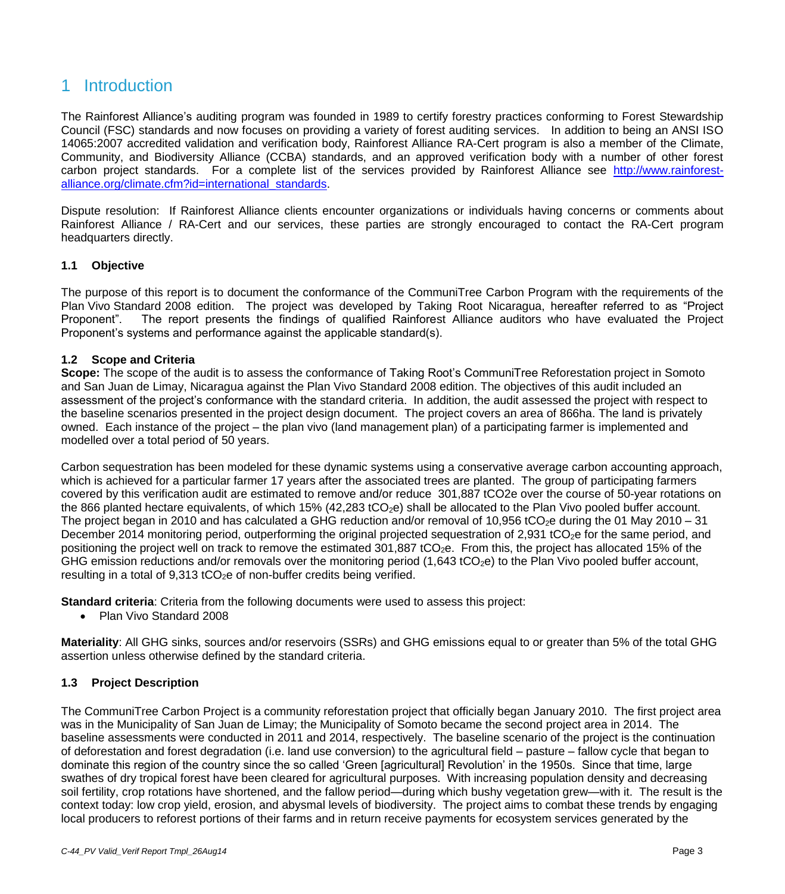## <span id="page-2-0"></span>1 Introduction

The Rainforest Alliance's auditing program was founded in 1989 to certify forestry practices conforming to Forest Stewardship Council (FSC) standards and now focuses on providing a variety of forest auditing services. In addition to being an ANSI ISO 14065:2007 accredited validation and verification body, Rainforest Alliance RA-Cert program is also a member of the Climate, Community, and Biodiversity Alliance (CCBA) standards, and an approved verification body with a number of other forest carbon project standards. For a complete list of the services provided by Rainforest Alliance see [http://www.rainforest](http://www.rainforest-alliance.org/climate.cfm?id=international_standards)[alliance.org/climate.cfm?id=international\\_standards.](http://www.rainforest-alliance.org/climate.cfm?id=international_standards)

Dispute resolution: If Rainforest Alliance clients encounter organizations or individuals having concerns or comments about Rainforest Alliance / RA-Cert and our services, these parties are strongly encouraged to contact the RA-Cert program headquarters directly.

## <span id="page-2-1"></span>**1.1 Objective**

The purpose of this report is to document the conformance of the CommuniTree Carbon Program with the requirements of the Plan Vivo Standard 2008 edition. The project was developed by Taking Root Nicaragua, hereafter referred to as "Project Proponent". The report presents the findings of qualified Rainforest Alliance auditors who have evaluated the Project Proponent's systems and performance against the applicable standard(s).

#### <span id="page-2-2"></span>**1.2 Scope and Criteria**

**Scope:** The scope of the audit is to assess the conformance of Taking Root's CommuniTree Reforestation project in Somoto and San Juan de Limay, Nicaragua against the Plan Vivo Standard 2008 edition. The objectives of this audit included an assessment of the project's conformance with the standard criteria. In addition, the audit assessed the project with respect to the baseline scenarios presented in the project design document. The project covers an area of 866ha. The land is privately owned. Each instance of the project – the plan vivo (land management plan) of a participating farmer is implemented and modelled over a total period of 50 years.

Carbon sequestration has been modeled for these dynamic systems using a conservative average carbon accounting approach, which is achieved for a particular farmer 17 years after the associated trees are planted. The group of participating farmers covered by this verification audit are estimated to remove and/or reduce 301,887 tCO2e over the course of 50-year rotations on the 866 planted hectare equivalents, of which 15% (42,283 tCO<sub>2</sub>e) shall be allocated to the Plan Vivo pooled buffer account. The project began in 2010 and has calculated a GHG reduction and/or removal of 10.956 tCO<sub>2</sub>e during the 01 May 2010 – 31 December 2014 monitoring period, outperforming the original projected sequestration of 2,931 tCO<sub>2</sub>e for the same period, and positioning the project well on track to remove the estimated 301,887 tCO<sub>2</sub>e. From this, the project has allocated 15% of the GHG emission reductions and/or removals over the monitoring period  $(1,643 \text{ tCO}_2e)$  to the Plan Vivo pooled buffer account, resulting in a total of  $9.313$  tCO<sub>2</sub>e of non-buffer credits being verified.

**Standard criteria**: Criteria from the following documents were used to assess this project:

• Plan Vivo Standard 2008

**Materiality**: All GHG sinks, sources and/or reservoirs (SSRs) and GHG emissions equal to or greater than 5% of the total GHG assertion unless otherwise defined by the standard criteria.

## <span id="page-2-3"></span>**1.3 Project Description**

The CommuniTree Carbon Project is a community reforestation project that officially began January 2010. The first project area was in the Municipality of San Juan de Limay; the Municipality of Somoto became the second project area in 2014. The baseline assessments were conducted in 2011 and 2014, respectively. The baseline scenario of the project is the continuation of deforestation and forest degradation (i.e. land use conversion) to the agricultural field – pasture – fallow cycle that began to dominate this region of the country since the so called 'Green [agricultural] Revolution' in the 1950s. Since that time, large swathes of dry tropical forest have been cleared for agricultural purposes. With increasing population density and decreasing soil fertility, crop rotations have shortened, and the fallow period—during which bushy vegetation grew—with it. The result is the context today: low crop yield, erosion, and abysmal levels of biodiversity. The project aims to combat these trends by engaging local producers to reforest portions of their farms and in return receive payments for ecosystem services generated by the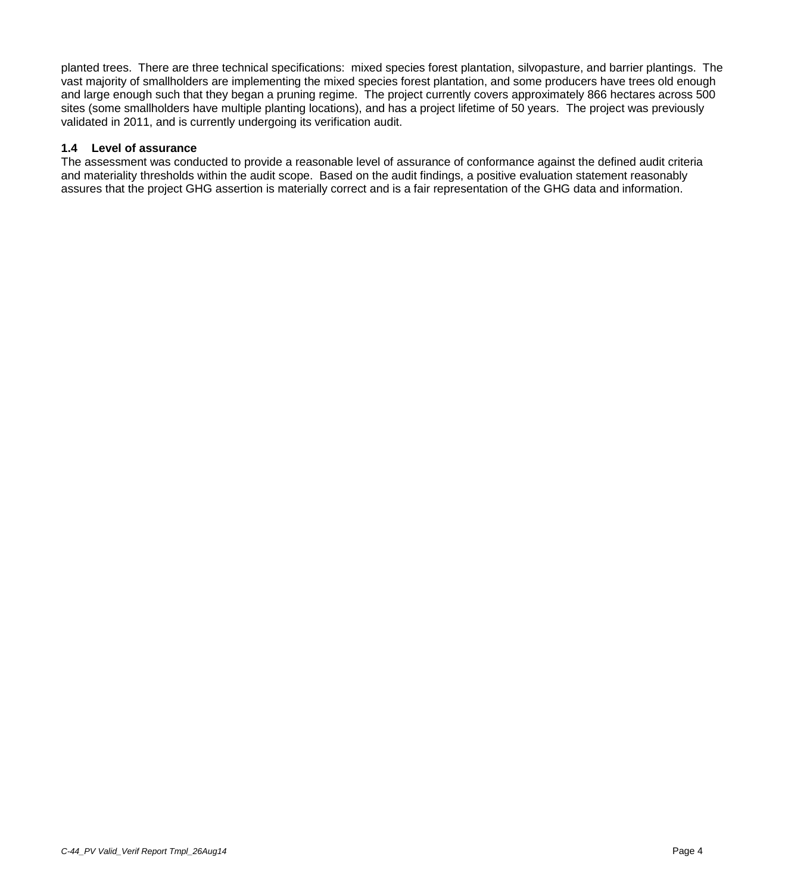planted trees. There are three technical specifications: mixed species forest plantation, silvopasture, and barrier plantings. The vast majority of smallholders are implementing the mixed species forest plantation, and some producers have trees old enough and large enough such that they began a pruning regime. The project currently covers approximately 866 hectares across 500 sites (some smallholders have multiple planting locations), and has a project lifetime of 50 years. The project was previously validated in 2011, and is currently undergoing its verification audit.

## <span id="page-3-0"></span>**1.4 Level of assurance**

The assessment was conducted to provide a reasonable level of assurance of conformance against the defined audit criteria and materiality thresholds within the audit scope. Based on the audit findings, a positive evaluation statement reasonably assures that the project GHG assertion is materially correct and is a fair representation of the GHG data and information.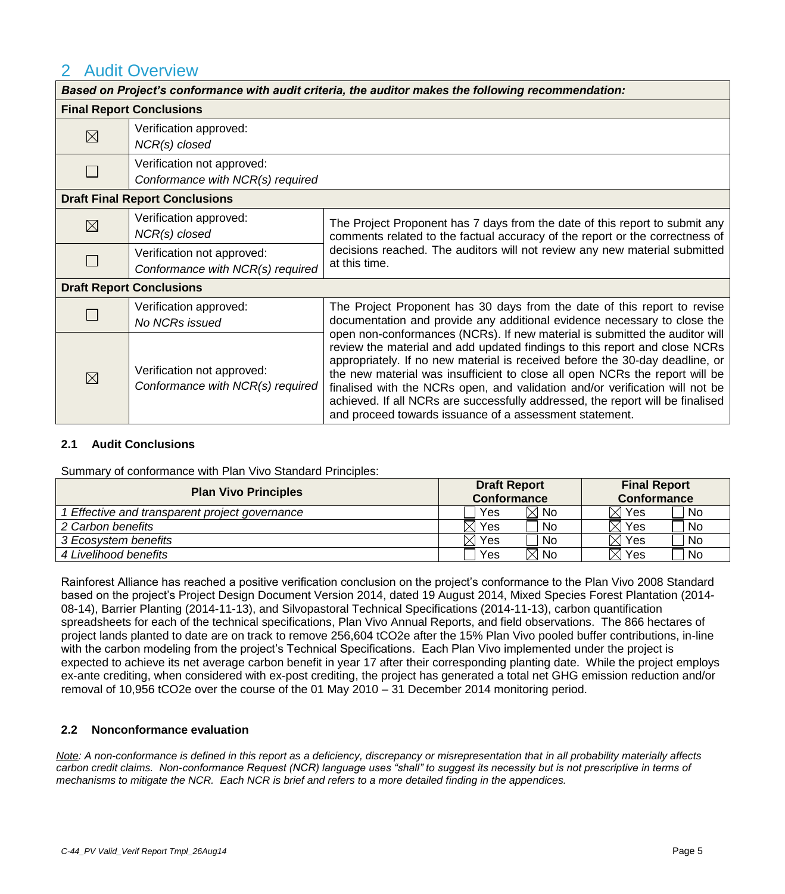## <span id="page-4-0"></span>2 Audit Overview

| Based on Project's conformance with audit criteria, the auditor makes the following recommendation: |                                                                |                                                                                                                                                                                                                                                                                                                                                                                                                                                                                                                                                                                                                                                                                                               |  |  |  |
|-----------------------------------------------------------------------------------------------------|----------------------------------------------------------------|---------------------------------------------------------------------------------------------------------------------------------------------------------------------------------------------------------------------------------------------------------------------------------------------------------------------------------------------------------------------------------------------------------------------------------------------------------------------------------------------------------------------------------------------------------------------------------------------------------------------------------------------------------------------------------------------------------------|--|--|--|
|                                                                                                     | <b>Final Report Conclusions</b>                                |                                                                                                                                                                                                                                                                                                                                                                                                                                                                                                                                                                                                                                                                                                               |  |  |  |
| $\boxtimes$                                                                                         | Verification approved:<br>NCR(s) closed                        |                                                                                                                                                                                                                                                                                                                                                                                                                                                                                                                                                                                                                                                                                                               |  |  |  |
|                                                                                                     | Verification not approved:<br>Conformance with NCR(s) required |                                                                                                                                                                                                                                                                                                                                                                                                                                                                                                                                                                                                                                                                                                               |  |  |  |
|                                                                                                     | <b>Draft Final Report Conclusions</b>                          |                                                                                                                                                                                                                                                                                                                                                                                                                                                                                                                                                                                                                                                                                                               |  |  |  |
| $\boxtimes$                                                                                         | Verification approved:<br>$NCR(s)$ closed                      | The Project Proponent has 7 days from the date of this report to submit any<br>comments related to the factual accuracy of the report or the correctness of                                                                                                                                                                                                                                                                                                                                                                                                                                                                                                                                                   |  |  |  |
|                                                                                                     | Verification not approved:<br>Conformance with NCR(s) required | decisions reached. The auditors will not review any new material submitted<br>at this time.                                                                                                                                                                                                                                                                                                                                                                                                                                                                                                                                                                                                                   |  |  |  |
|                                                                                                     | <b>Draft Report Conclusions</b>                                |                                                                                                                                                                                                                                                                                                                                                                                                                                                                                                                                                                                                                                                                                                               |  |  |  |
|                                                                                                     | Verification approved:<br>No NCRs issued                       | The Project Proponent has 30 days from the date of this report to revise<br>documentation and provide any additional evidence necessary to close the<br>open non-conformances (NCRs). If new material is submitted the auditor will<br>review the material and add updated findings to this report and close NCRs<br>appropriately. If no new material is received before the 30-day deadline, or<br>the new material was insufficient to close all open NCRs the report will be<br>finalised with the NCRs open, and validation and/or verification will not be<br>achieved. If all NCRs are successfully addressed, the report will be finalised<br>and proceed towards issuance of a assessment statement. |  |  |  |
| $\boxtimes$                                                                                         | Verification not approved:<br>Conformance with NCR(s) required |                                                                                                                                                                                                                                                                                                                                                                                                                                                                                                                                                                                                                                                                                                               |  |  |  |

## <span id="page-4-1"></span>**2.1 Audit Conclusions**

Summary of conformance with Plan Vivo Standard Principles:

| <b>Plan Vivo Principles</b>                  | <b>Draft Report</b><br><b>Conformance</b> | <b>Final Report</b><br><b>Conformance</b> |
|----------------------------------------------|-------------------------------------------|-------------------------------------------|
| Effective and transparent project governance | $\boxtimes$ No<br>Yes                     | No<br>$\boxtimes$ Yes                     |
| 2 Carbon benefits                            | Yes<br>No                                 | <b>No</b><br>$\boxtimes$ Yes              |
| 3 Ecosystem benefits                         | Yes<br>No                                 | No<br>$\boxtimes$ Yes                     |
| 4 Livelihood benefits                        | $\boxtimes$ No<br>Yes                     | ' No<br>$\boxtimes$ Yes                   |

Rainforest Alliance has reached a positive verification conclusion on the project's conformance to the Plan Vivo 2008 Standard based on the project's Project Design Document Version 2014, dated 19 August 2014, Mixed Species Forest Plantation (2014- 08-14), Barrier Planting (2014-11-13), and Silvopastoral Technical Specifications (2014-11-13), carbon quantification spreadsheets for each of the technical specifications, Plan Vivo Annual Reports, and field observations. The 866 hectares of project lands planted to date are on track to remove 256,604 tCO2e after the 15% Plan Vivo pooled buffer contributions, in-line with the carbon modeling from the project's Technical Specifications. Each Plan Vivo implemented under the project is expected to achieve its net average carbon benefit in year 17 after their corresponding planting date. While the project employs ex-ante crediting, when considered with ex-post crediting, the project has generated a total net GHG emission reduction and/or removal of 10,956 tCO2e over the course of the 01 May 2010 – 31 December 2014 monitoring period.

## <span id="page-4-2"></span>**2.2 Nonconformance evaluation**

*Note: A non-conformance is defined in this report as a deficiency, discrepancy or misrepresentation that in all probability materially affects carbon credit claims. Non-conformance Request (NCR) language uses "shall" to suggest its necessity but is not prescriptive in terms of mechanisms to mitigate the NCR. Each NCR is brief and refers to a more detailed finding in the appendices.*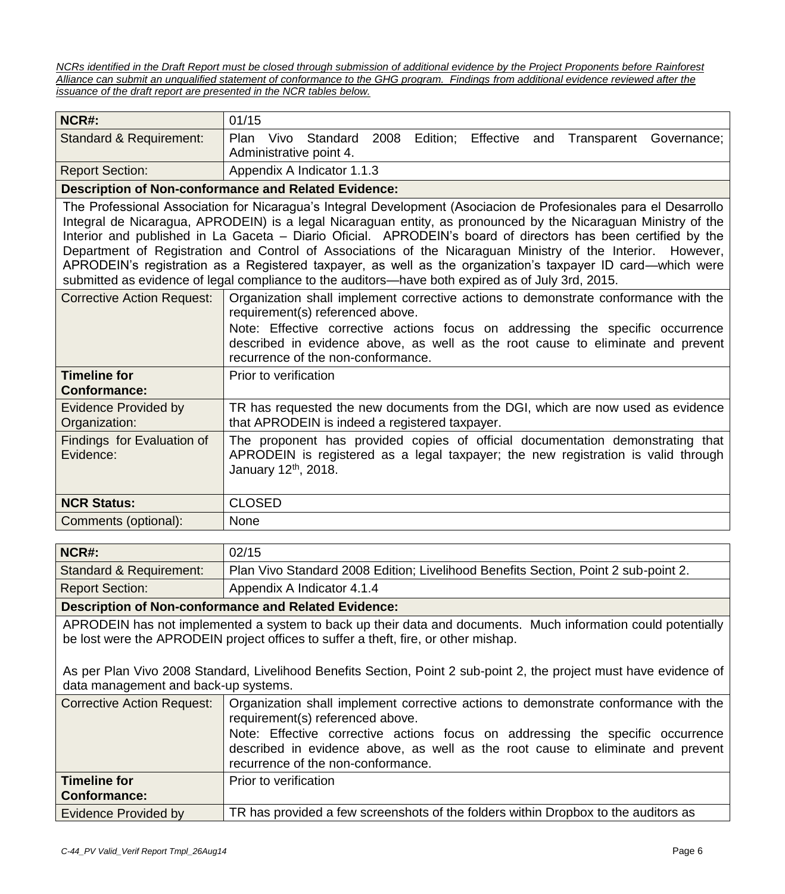*NCRs identified in the Draft Report must be closed through submission of additional evidence by the Project Proponents before Rainforest Alliance can submit an unqualified statement of conformance to the GHG program. Findings from additional evidence reviewed after the issuance of the draft report are presented in the NCR tables below.*

| NCR#:                                        | 01/15                                                                                                                                                                                                                                                                                                                                                                                                                                                                                                                                                                                                                                                                                   |  |  |
|----------------------------------------------|-----------------------------------------------------------------------------------------------------------------------------------------------------------------------------------------------------------------------------------------------------------------------------------------------------------------------------------------------------------------------------------------------------------------------------------------------------------------------------------------------------------------------------------------------------------------------------------------------------------------------------------------------------------------------------------------|--|--|
| Standard & Requirement:                      | Edition;<br>Vivo<br>Standard 2008<br>Effective<br><b>Plan</b><br>Transparent<br>Governance;<br>and<br>Administrative point 4.                                                                                                                                                                                                                                                                                                                                                                                                                                                                                                                                                           |  |  |
| <b>Report Section:</b>                       | Appendix A Indicator 1.1.3                                                                                                                                                                                                                                                                                                                                                                                                                                                                                                                                                                                                                                                              |  |  |
|                                              | <b>Description of Non-conformance and Related Evidence:</b>                                                                                                                                                                                                                                                                                                                                                                                                                                                                                                                                                                                                                             |  |  |
|                                              | The Professional Association for Nicaragua's Integral Development (Asociacion de Profesionales para el Desarrollo<br>Integral de Nicaragua, APRODEIN) is a legal Nicaraguan entity, as pronounced by the Nicaraguan Ministry of the<br>Interior and published in La Gaceta - Diario Oficial. APRODEIN's board of directors has been certified by the<br>Department of Registration and Control of Associations of the Nicaraguan Ministry of the Interior. However,<br>APRODEIN's registration as a Registered taxpayer, as well as the organization's taxpayer ID card-which were<br>submitted as evidence of legal compliance to the auditors—have both expired as of July 3rd, 2015. |  |  |
| <b>Corrective Action Request:</b>            | Organization shall implement corrective actions to demonstrate conformance with the<br>requirement(s) referenced above.<br>Note: Effective corrective actions focus on addressing the specific occurrence<br>described in evidence above, as well as the root cause to eliminate and prevent<br>recurrence of the non-conformance.                                                                                                                                                                                                                                                                                                                                                      |  |  |
| <b>Timeline for</b><br><b>Conformance:</b>   | Prior to verification                                                                                                                                                                                                                                                                                                                                                                                                                                                                                                                                                                                                                                                                   |  |  |
| <b>Evidence Provided by</b><br>Organization: | TR has requested the new documents from the DGI, which are now used as evidence<br>that APRODEIN is indeed a registered taxpayer.                                                                                                                                                                                                                                                                                                                                                                                                                                                                                                                                                       |  |  |
| Findings for Evaluation of<br>Evidence:      | The proponent has provided copies of official documentation demonstrating that<br>APRODEIN is registered as a legal taxpayer; the new registration is valid through<br>January 12 <sup>th</sup> , 2018.                                                                                                                                                                                                                                                                                                                                                                                                                                                                                 |  |  |
| <b>NCR Status:</b>                           | <b>CLOSED</b>                                                                                                                                                                                                                                                                                                                                                                                                                                                                                                                                                                                                                                                                           |  |  |
| Comments (optional):                         | <b>None</b>                                                                                                                                                                                                                                                                                                                                                                                                                                                                                                                                                                                                                                                                             |  |  |

| NCR#:                                                                                                                                                                                                                                                                                                                                                                   | 02/15                                                                                                                                                                                                |  |  |  |  |
|-------------------------------------------------------------------------------------------------------------------------------------------------------------------------------------------------------------------------------------------------------------------------------------------------------------------------------------------------------------------------|------------------------------------------------------------------------------------------------------------------------------------------------------------------------------------------------------|--|--|--|--|
|                                                                                                                                                                                                                                                                                                                                                                         |                                                                                                                                                                                                      |  |  |  |  |
| <b>Standard &amp; Requirement:</b>                                                                                                                                                                                                                                                                                                                                      | Plan Vivo Standard 2008 Edition; Livelihood Benefits Section, Point 2 sub-point 2.                                                                                                                   |  |  |  |  |
| <b>Report Section:</b>                                                                                                                                                                                                                                                                                                                                                  | Appendix A Indicator 4.1.4                                                                                                                                                                           |  |  |  |  |
|                                                                                                                                                                                                                                                                                                                                                                         | <b>Description of Non-conformance and Related Evidence:</b>                                                                                                                                          |  |  |  |  |
|                                                                                                                                                                                                                                                                                                                                                                         | APRODEIN has not implemented a system to back up their data and documents. Much information could potentially<br>be lost were the APRODEIN project offices to suffer a theft, fire, or other mishap. |  |  |  |  |
| As per Plan Vivo 2008 Standard, Livelihood Benefits Section, Point 2 sub-point 2, the project must have evidence of<br>data management and back-up systems.                                                                                                                                                                                                             |                                                                                                                                                                                                      |  |  |  |  |
| <b>Corrective Action Request:</b><br>Organization shall implement corrective actions to demonstrate conformance with the<br>requirement(s) referenced above.<br>Note: Effective corrective actions focus on addressing the specific occurrence<br>described in evidence above, as well as the root cause to eliminate and prevent<br>recurrence of the non-conformance. |                                                                                                                                                                                                      |  |  |  |  |
| <b>Timeline for</b><br><b>Conformance:</b>                                                                                                                                                                                                                                                                                                                              | Prior to verification                                                                                                                                                                                |  |  |  |  |
| Evidence Provided by                                                                                                                                                                                                                                                                                                                                                    | TR has provided a few screenshots of the folders within Dropbox to the auditors as                                                                                                                   |  |  |  |  |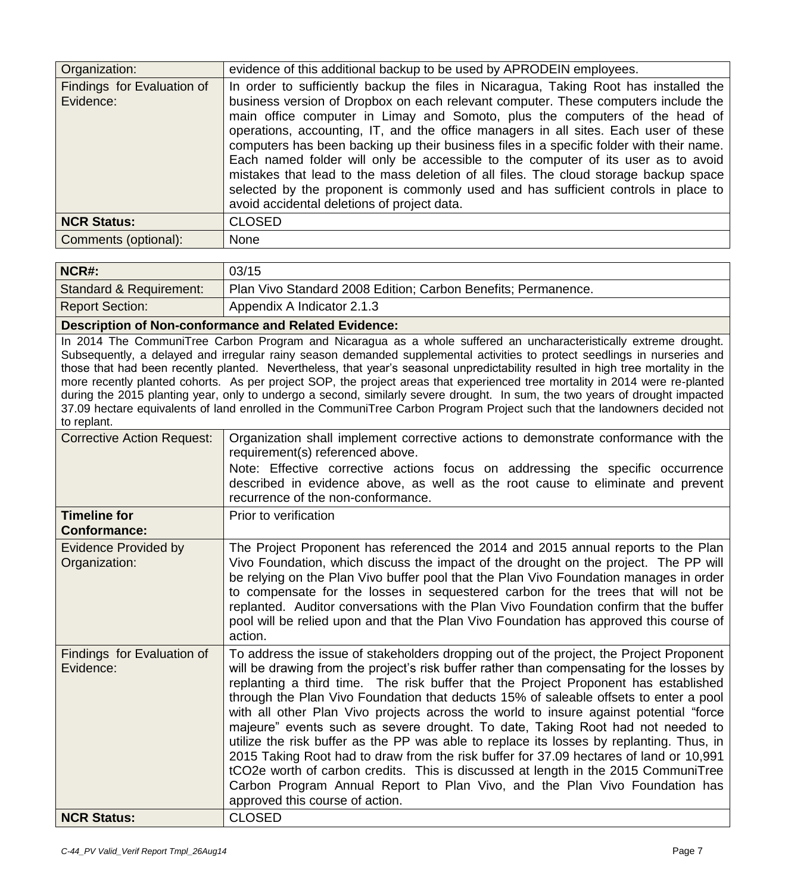| Organization:                           | evidence of this additional backup to be used by APRODEIN employees.                                                                                                                                                                                                                                                                                                                                                                                                                                                                                                                                                                                                                                                                                             |
|-----------------------------------------|------------------------------------------------------------------------------------------------------------------------------------------------------------------------------------------------------------------------------------------------------------------------------------------------------------------------------------------------------------------------------------------------------------------------------------------------------------------------------------------------------------------------------------------------------------------------------------------------------------------------------------------------------------------------------------------------------------------------------------------------------------------|
| Findings for Evaluation of<br>Evidence: | In order to sufficiently backup the files in Nicaragua, Taking Root has installed the<br>business version of Dropbox on each relevant computer. These computers include the<br>main office computer in Limay and Somoto, plus the computers of the head of<br>operations, accounting, IT, and the office managers in all sites. Each user of these<br>computers has been backing up their business files in a specific folder with their name.<br>Each named folder will only be accessible to the computer of its user as to avoid<br>mistakes that lead to the mass deletion of all files. The cloud storage backup space<br>selected by the proponent is commonly used and has sufficient controls in place to<br>avoid accidental deletions of project data. |
| <b>NCR Status:</b>                      | <b>CLOSED</b>                                                                                                                                                                                                                                                                                                                                                                                                                                                                                                                                                                                                                                                                                                                                                    |
| Comments (optional):                    | None                                                                                                                                                                                                                                                                                                                                                                                                                                                                                                                                                                                                                                                                                                                                                             |

| NCR#:                                                | 03/15                                                         |  |
|------------------------------------------------------|---------------------------------------------------------------|--|
| <b>Standard &amp; Requirement:</b>                   | Plan Vivo Standard 2008 Edition; Carbon Benefits; Permanence. |  |
| <b>Report Section:</b>                               | Appendix A Indicator 2.1.3                                    |  |
| Desarintlan of Nan conformance and Delated Eridenaar |                                                               |  |

## **Description of Non-conformance and Related Evidence:**

In 2014 The CommuniTree Carbon Program and Nicaragua as a whole suffered an uncharacteristically extreme drought. Subsequently, a delayed and irregular rainy season demanded supplemental activities to protect seedlings in nurseries and those that had been recently planted. Nevertheless, that year's seasonal unpredictability resulted in high tree mortality in the more recently planted cohorts. As per project SOP, the project areas that experienced tree mortality in 2014 were re-planted during the 2015 planting year, only to undergo a second, similarly severe drought. In sum, the two years of drought impacted 37.09 hectare equivalents of land enrolled in the CommuniTree Carbon Program Project such that the landowners decided not to replant.

| <b>Corrective Action Request:</b>            | Organization shall implement corrective actions to demonstrate conformance with the<br>requirement(s) referenced above.<br>Note: Effective corrective actions focus on addressing the specific occurrence<br>described in evidence above, as well as the root cause to eliminate and prevent<br>recurrence of the non-conformance.                                                                                                                                                                                                                                                                                                                                                                                                                                                                                                                                                                                                            |
|----------------------------------------------|-----------------------------------------------------------------------------------------------------------------------------------------------------------------------------------------------------------------------------------------------------------------------------------------------------------------------------------------------------------------------------------------------------------------------------------------------------------------------------------------------------------------------------------------------------------------------------------------------------------------------------------------------------------------------------------------------------------------------------------------------------------------------------------------------------------------------------------------------------------------------------------------------------------------------------------------------|
| <b>Timeline for</b><br><b>Conformance:</b>   | Prior to verification                                                                                                                                                                                                                                                                                                                                                                                                                                                                                                                                                                                                                                                                                                                                                                                                                                                                                                                         |
| <b>Evidence Provided by</b><br>Organization: | The Project Proponent has referenced the 2014 and 2015 annual reports to the Plan<br>Vivo Foundation, which discuss the impact of the drought on the project. The PP will<br>be relying on the Plan Vivo buffer pool that the Plan Vivo Foundation manages in order<br>to compensate for the losses in sequestered carbon for the trees that will not be<br>replanted. Auditor conversations with the Plan Vivo Foundation confirm that the buffer<br>pool will be relied upon and that the Plan Vivo Foundation has approved this course of<br>action.                                                                                                                                                                                                                                                                                                                                                                                       |
| Findings for Evaluation of<br>Evidence:      | To address the issue of stakeholders dropping out of the project, the Project Proponent<br>will be drawing from the project's risk buffer rather than compensating for the losses by<br>replanting a third time. The risk buffer that the Project Proponent has established<br>through the Plan Vivo Foundation that deducts 15% of saleable offsets to enter a pool<br>with all other Plan Vivo projects across the world to insure against potential "force<br>majeure" events such as severe drought. To date, Taking Root had not needed to<br>utilize the risk buffer as the PP was able to replace its losses by replanting. Thus, in<br>2015 Taking Root had to draw from the risk buffer for 37.09 hectares of land or 10,991<br>tCO2e worth of carbon credits. This is discussed at length in the 2015 CommuniTree<br>Carbon Program Annual Report to Plan Vivo, and the Plan Vivo Foundation has<br>approved this course of action. |
| <b>NCR Status:</b>                           | <b>CLOSED</b>                                                                                                                                                                                                                                                                                                                                                                                                                                                                                                                                                                                                                                                                                                                                                                                                                                                                                                                                 |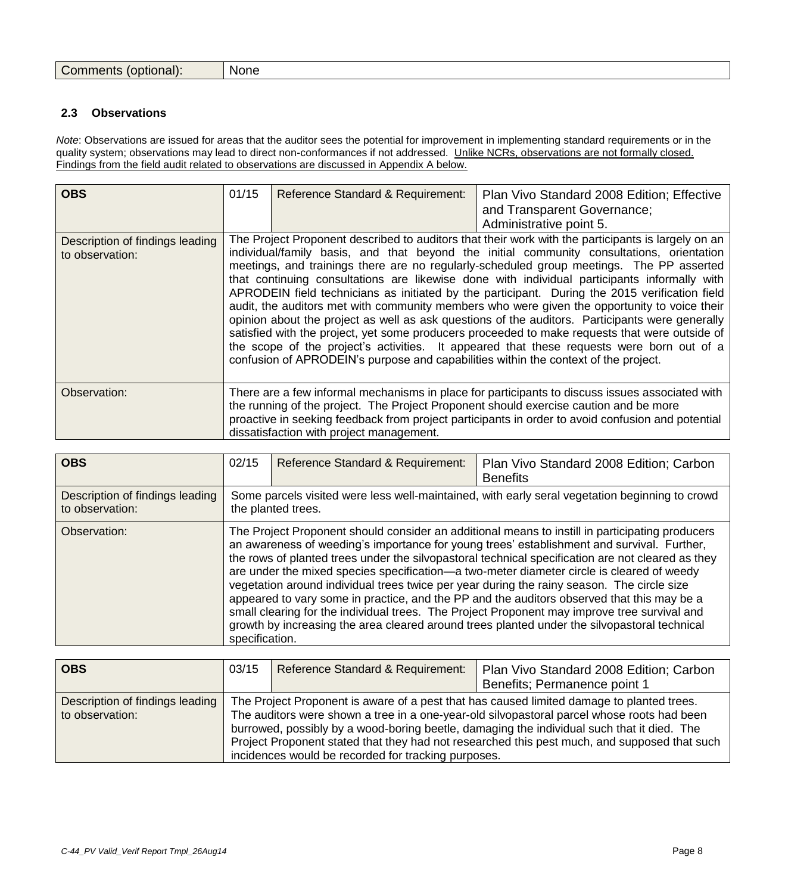| Comments (optional): None |  |
|---------------------------|--|
|---------------------------|--|

#### <span id="page-7-0"></span>**2.3 Observations**

*Note*: Observations are issued for areas that the auditor sees the potential for improvement in implementing standard requirements or in the quality system; observations may lead to direct non-conformances if not addressed. Unlike NCRs, observations are not formally closed. Findings from the field audit related to observations are discussed in Appendix A below.

| <b>OBS</b>                                         | 01/15                                                                                                                                                                                                                                                                                                                                                                                                                                                                                                                                                                                                                                                                                                                                                                                                                                                                                                                                                                                  | Reference Standard & Requirement:        | Plan Vivo Standard 2008 Edition; Effective<br>and Transparent Governance;<br>Administrative point 5.                                                                                                                                                                                          |
|----------------------------------------------------|----------------------------------------------------------------------------------------------------------------------------------------------------------------------------------------------------------------------------------------------------------------------------------------------------------------------------------------------------------------------------------------------------------------------------------------------------------------------------------------------------------------------------------------------------------------------------------------------------------------------------------------------------------------------------------------------------------------------------------------------------------------------------------------------------------------------------------------------------------------------------------------------------------------------------------------------------------------------------------------|------------------------------------------|-----------------------------------------------------------------------------------------------------------------------------------------------------------------------------------------------------------------------------------------------------------------------------------------------|
| Description of findings leading<br>to observation: | The Project Proponent described to auditors that their work with the participants is largely on an<br>individual/family basis, and that beyond the initial community consultations, orientation<br>meetings, and trainings there are no regularly-scheduled group meetings. The PP asserted<br>that continuing consultations are likewise done with individual participants informally with<br>APRODEIN field technicians as initiated by the participant. During the 2015 verification field<br>audit, the auditors met with community members who were given the opportunity to voice their<br>opinion about the project as well as ask questions of the auditors. Participants were generally<br>satisfied with the project, yet some producers proceeded to make requests that were outside of<br>the scope of the project's activities. It appeared that these requests were born out of a<br>confusion of APRODEIN's purpose and capabilities within the context of the project. |                                          |                                                                                                                                                                                                                                                                                               |
| Observation:                                       |                                                                                                                                                                                                                                                                                                                                                                                                                                                                                                                                                                                                                                                                                                                                                                                                                                                                                                                                                                                        | dissatisfaction with project management. | There are a few informal mechanisms in place for participants to discuss issues associated with<br>the running of the project. The Project Proponent should exercise caution and be more<br>proactive in seeking feedback from project participants in order to avoid confusion and potential |

| <b>OBS</b>                                         | 02/15                                                                                                                                                                                                                                                                                                                                                                                                                                                                                                                                                                                                                                                                                                                                                                                                         | Reference Standard & Requirement: | Plan Vivo Standard 2008 Edition; Carbon<br><b>Benefits</b>                                     |
|----------------------------------------------------|---------------------------------------------------------------------------------------------------------------------------------------------------------------------------------------------------------------------------------------------------------------------------------------------------------------------------------------------------------------------------------------------------------------------------------------------------------------------------------------------------------------------------------------------------------------------------------------------------------------------------------------------------------------------------------------------------------------------------------------------------------------------------------------------------------------|-----------------------------------|------------------------------------------------------------------------------------------------|
| Description of findings leading<br>to observation: | the planted trees.                                                                                                                                                                                                                                                                                                                                                                                                                                                                                                                                                                                                                                                                                                                                                                                            |                                   | Some parcels visited were less well-maintained, with early seral vegetation beginning to crowd |
| Observation:                                       | The Project Proponent should consider an additional means to instill in participating producers<br>an awareness of weeding's importance for young trees' establishment and survival. Further,<br>the rows of planted trees under the silvopastoral technical specification are not cleared as they<br>are under the mixed species specification—a two-meter diameter circle is cleared of weedy<br>vegetation around individual trees twice per year during the rainy season. The circle size<br>appeared to vary some in practice, and the PP and the auditors observed that this may be a<br>small clearing for the individual trees. The Project Proponent may improve tree survival and<br>growth by increasing the area cleared around trees planted under the silvopastoral technical<br>specification. |                                   |                                                                                                |

| <b>OBS</b>                                         | 03/15 | Reference Standard & Requirement:                   | Plan Vivo Standard 2008 Edition; Carbon                                                                                                                                                                                                                                                                                                                                               |
|----------------------------------------------------|-------|-----------------------------------------------------|---------------------------------------------------------------------------------------------------------------------------------------------------------------------------------------------------------------------------------------------------------------------------------------------------------------------------------------------------------------------------------------|
|                                                    |       |                                                     | Benefits; Permanence point 1                                                                                                                                                                                                                                                                                                                                                          |
| Description of findings leading<br>to observation: |       | incidences would be recorded for tracking purposes. | The Project Proponent is aware of a pest that has caused limited damage to planted trees.<br>The auditors were shown a tree in a one-year-old silvopastoral parcel whose roots had been<br>burrowed, possibly by a wood-boring beetle, damaging the individual such that it died. The<br>Project Proponent stated that they had not researched this pest much, and supposed that such |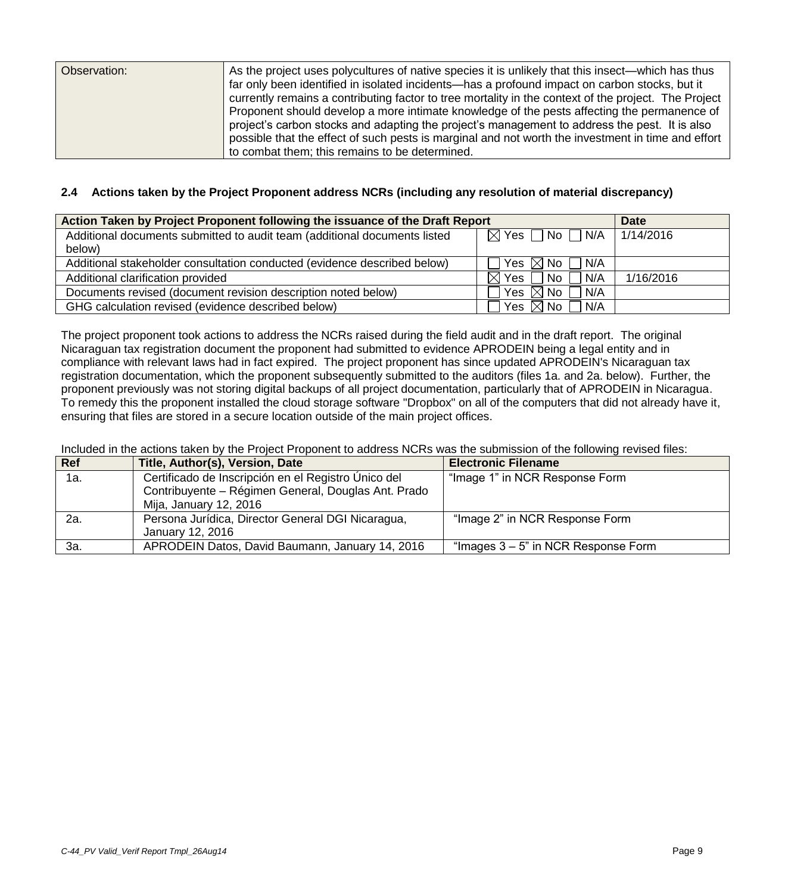## <span id="page-8-0"></span>**2.4 Actions taken by the Project Proponent address NCRs (including any resolution of material discrepancy)**

| Action Taken by Project Proponent following the issuance of the Draft Report | <b>Date</b>                                                        |           |
|------------------------------------------------------------------------------|--------------------------------------------------------------------|-----------|
| Additional documents submitted to audit team (additional documents listed    | $\boxtimes$ Yes $\Box$ No $\Box$ N/A                               | 1/14/2016 |
| below)                                                                       |                                                                    |           |
| Additional stakeholder consultation conducted (evidence described below)     | Yes $\boxtimes$ No $\ulcorner$<br>$\Box$ N/A                       |           |
| Additional clarification provided                                            | N/A<br>$\boxtimes$                                                 | 1/16/2016 |
| Documents revised (document revision description noted below)                | Yes $\boxtimes$ No 1<br>N/A                                        |           |
| GHG calculation revised (evidence described below)                           | $\mid$ Yes $\boxtimes$ No $\lceil$<br>$\overline{\phantom{a}}$ N/A |           |

The project proponent took actions to address the NCRs raised during the field audit and in the draft report. The original Nicaraguan tax registration document the proponent had submitted to evidence APRODEIN being a legal entity and in compliance with relevant laws had in fact expired. The project proponent has since updated APRODEIN's Nicaraguan tax registration documentation, which the proponent subsequently submitted to the auditors (files 1a. and 2a. below). Further, the proponent previously was not storing digital backups of all project documentation, particularly that of APRODEIN in Nicaragua. To remedy this the proponent installed the cloud storage software "Dropbox" on all of the computers that did not already have it, ensuring that files are stored in a secure location outside of the main project offices.

Included in the actions taken by the Project Proponent to address NCRs was the submission of the following revised files:

| <b>Ref</b> | Title, Author(s), Version, Date                     | <b>Electronic Filename</b>             |
|------------|-----------------------------------------------------|----------------------------------------|
| 1a.        | Certificado de Inscripción en el Registro Único del | "Image 1" in NCR Response Form         |
|            | Contribuyente – Régimen General, Douglas Ant. Prado |                                        |
|            | Mija, January 12, 2016                              |                                        |
| 2a.        | Persona Jurídica, Director General DGI Nicaragua,   | "Image 2" in NCR Response Form         |
|            | January 12, 2016                                    |                                        |
| За.        | APRODEIN Datos, David Baumann, January 14, 2016     | "Images $3 - 5$ " in NCR Response Form |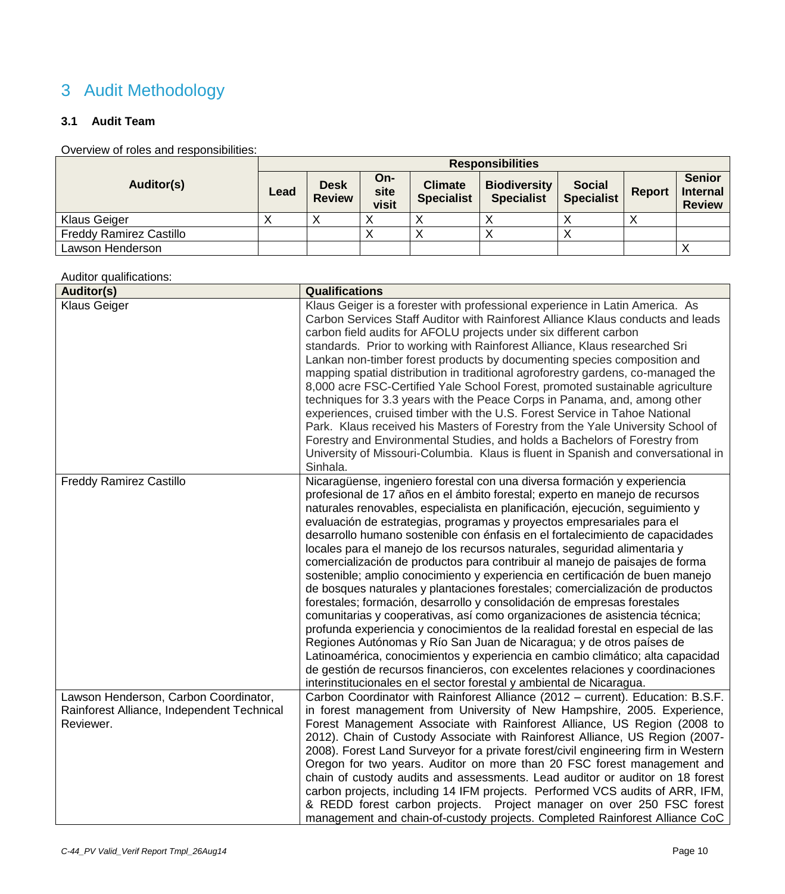# <span id="page-9-0"></span>3 Audit Methodology

## <span id="page-9-1"></span>**3.1 Audit Team**

## Overview of roles and responsibilities:

|                                | <b>Responsibilities</b> |                              |                      |                                     |                                          |                                    |               |                                                   |
|--------------------------------|-------------------------|------------------------------|----------------------|-------------------------------------|------------------------------------------|------------------------------------|---------------|---------------------------------------------------|
| Auditor(s)                     | Lead                    | <b>Desk</b><br><b>Review</b> | On-<br>site<br>visit | <b>Climate</b><br><b>Specialist</b> | <b>Biodiversity</b><br><b>Specialist</b> | <b>Social</b><br><b>Specialist</b> | <b>Report</b> | <b>Senior</b><br><b>Internal</b><br><b>Review</b> |
| <b>Klaus Geiger</b>            |                         |                              |                      |                                     |                                          |                                    |               |                                                   |
| <b>Freddy Ramirez Castillo</b> |                         |                              |                      |                                     |                                          |                                    |               |                                                   |
| Lawson Henderson               |                         |                              |                      |                                     |                                          |                                    |               |                                                   |

Auditor qualifications:

| saanton qaamnootiigino<br>Auditor(s)                                                             | <b>Qualifications</b>                                                                                                                                                                                                                                                                                                                                                                                                                                                                                                                                                                                                                                                                                                                                                                                                                                                                                                                                                                                                                                                                                                                                                                                                                                                                                |
|--------------------------------------------------------------------------------------------------|------------------------------------------------------------------------------------------------------------------------------------------------------------------------------------------------------------------------------------------------------------------------------------------------------------------------------------------------------------------------------------------------------------------------------------------------------------------------------------------------------------------------------------------------------------------------------------------------------------------------------------------------------------------------------------------------------------------------------------------------------------------------------------------------------------------------------------------------------------------------------------------------------------------------------------------------------------------------------------------------------------------------------------------------------------------------------------------------------------------------------------------------------------------------------------------------------------------------------------------------------------------------------------------------------|
| <b>Klaus Geiger</b>                                                                              | Klaus Geiger is a forester with professional experience in Latin America. As<br>Carbon Services Staff Auditor with Rainforest Alliance Klaus conducts and leads<br>carbon field audits for AFOLU projects under six different carbon<br>standards. Prior to working with Rainforest Alliance, Klaus researched Sri<br>Lankan non-timber forest products by documenting species composition and<br>mapping spatial distribution in traditional agroforestry gardens, co-managed the<br>8,000 acre FSC-Certified Yale School Forest, promoted sustainable agriculture<br>techniques for 3.3 years with the Peace Corps in Panama, and, among other<br>experiences, cruised timber with the U.S. Forest Service in Tahoe National<br>Park. Klaus received his Masters of Forestry from the Yale University School of<br>Forestry and Environmental Studies, and holds a Bachelors of Forestry from<br>University of Missouri-Columbia. Klaus is fluent in Spanish and conversational in<br>Sinhala.                                                                                                                                                                                                                                                                                                     |
| <b>Freddy Ramirez Castillo</b>                                                                   | Nicaragüense, ingeniero forestal con una diversa formación y experiencia<br>profesional de 17 años en el ámbito forestal; experto en manejo de recursos<br>naturales renovables, especialista en planificación, ejecución, seguimiento y<br>evaluación de estrategias, programas y proyectos empresariales para el<br>desarrollo humano sostenible con énfasis en el fortalecimiento de capacidades<br>locales para el manejo de los recursos naturales, seguridad alimentaria y<br>comercialización de productos para contribuir al manejo de paisajes de forma<br>sostenible; amplio conocimiento y experiencia en certificación de buen manejo<br>de bosques naturales y plantaciones forestales; comercialización de productos<br>forestales; formación, desarrollo y consolidación de empresas forestales<br>comunitarias y cooperativas, así como organizaciones de asistencia técnica;<br>profunda experiencia y conocimientos de la realidad forestal en especial de las<br>Regiones Autónomas y Río San Juan de Nicaragua; y de otros países de<br>Latinoamérica, conocimientos y experiencia en cambio climático; alta capacidad<br>de gestión de recursos financieros, con excelentes relaciones y coordinaciones<br>interinstitucionales en el sector forestal y ambiental de Nicaragua. |
| Lawson Henderson, Carbon Coordinator,<br>Rainforest Alliance, Independent Technical<br>Reviewer. | Carbon Coordinator with Rainforest Alliance (2012 - current). Education: B.S.F.<br>in forest management from University of New Hampshire, 2005. Experience,<br>Forest Management Associate with Rainforest Alliance, US Region (2008 to<br>2012). Chain of Custody Associate with Rainforest Alliance, US Region (2007-<br>2008). Forest Land Surveyor for a private forest/civil engineering firm in Western<br>Oregon for two years. Auditor on more than 20 FSC forest management and<br>chain of custody audits and assessments. Lead auditor or auditor on 18 forest<br>carbon projects, including 14 IFM projects. Performed VCS audits of ARR, IFM,<br>& REDD forest carbon projects. Project manager on over 250 FSC forest<br>management and chain-of-custody projects. Completed Rainforest Alliance CoC                                                                                                                                                                                                                                                                                                                                                                                                                                                                                   |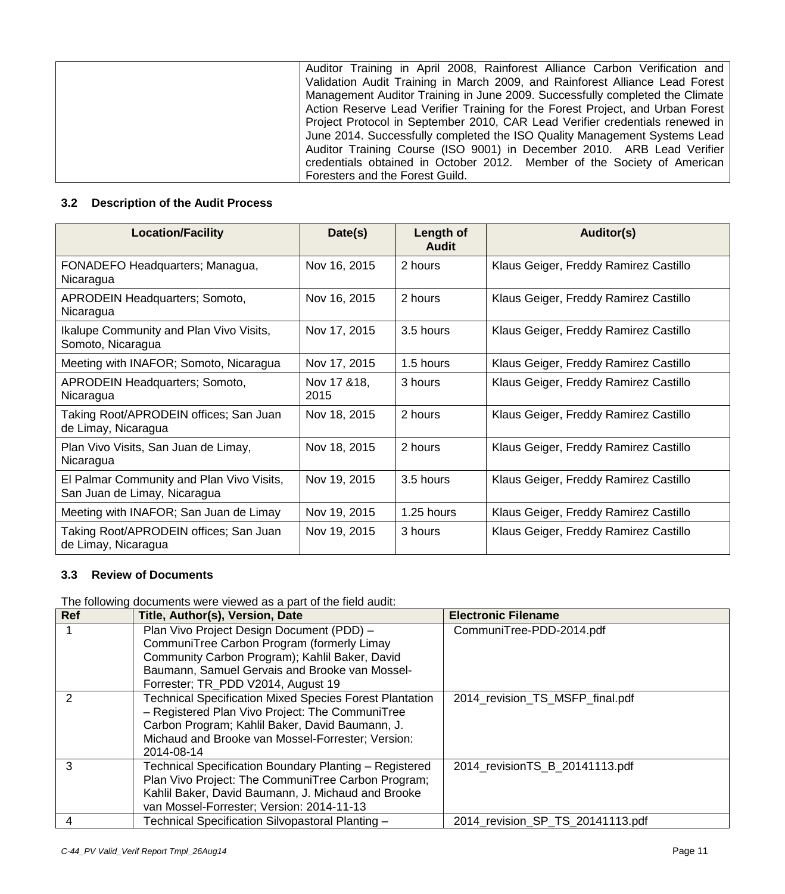| Auditor Training in April 2008, Rainforest Alliance Carbon Verification and    |
|--------------------------------------------------------------------------------|
| Validation Audit Training in March 2009, and Rainforest Alliance Lead Forest   |
| Management Auditor Training in June 2009. Successfully completed the Climate   |
| Action Reserve Lead Verifier Training for the Forest Project, and Urban Forest |
| Project Protocol in September 2010, CAR Lead Verifier credentials renewed in   |
| June 2014. Successfully completed the ISO Quality Management Systems Lead      |
| Auditor Training Course (ISO 9001) in December 2010. ARB Lead Verifier         |
| credentials obtained in October 2012. Member of the Society of American        |
| Foresters and the Forest Guild.                                                |

## <span id="page-10-0"></span>**3.2 Description of the Audit Process**

| <b>Location/Facility</b>                                                  | Date(s)              | Length of<br><b>Audit</b> | Auditor(s)                            |
|---------------------------------------------------------------------------|----------------------|---------------------------|---------------------------------------|
| FONADEFO Headquarters; Managua,<br>Nicaragua                              | Nov 16, 2015         | 2 hours                   | Klaus Geiger, Freddy Ramirez Castillo |
| APRODEIN Headquarters; Somoto,<br>Nicaragua                               | Nov 16, 2015         | 2 hours                   | Klaus Geiger, Freddy Ramirez Castillo |
| <b>Ikalupe Community and Plan Vivo Visits,</b><br>Somoto, Nicaragua       | Nov 17, 2015         | 3.5 hours                 | Klaus Geiger, Freddy Ramirez Castillo |
| Meeting with INAFOR; Somoto, Nicaragua                                    | Nov 17, 2015         | 1.5 hours                 | Klaus Geiger, Freddy Ramirez Castillo |
| APRODEIN Headquarters; Somoto,<br>Nicaragua                               | Nov 17 & 18,<br>2015 | 3 hours                   | Klaus Geiger, Freddy Ramirez Castillo |
| Taking Root/APRODEIN offices; San Juan<br>de Limay, Nicaragua             | Nov 18, 2015         | 2 hours                   | Klaus Geiger, Freddy Ramirez Castillo |
| Plan Vivo Visits, San Juan de Limay,<br>Nicaragua                         | Nov 18, 2015         | 2 hours                   | Klaus Geiger, Freddy Ramirez Castillo |
| El Palmar Community and Plan Vivo Visits,<br>San Juan de Limay, Nicaragua | Nov 19, 2015         | 3.5 hours                 | Klaus Geiger, Freddy Ramirez Castillo |
| Meeting with INAFOR; San Juan de Limay                                    | Nov 19, 2015         | 1.25 hours                | Klaus Geiger, Freddy Ramirez Castillo |
| Taking Root/APRODEIN offices; San Juan<br>de Limay, Nicaragua             | Nov 19, 2015         | 3 hours                   | Klaus Geiger, Freddy Ramirez Castillo |

## <span id="page-10-1"></span>**3.3 Review of Documents**

The following documents were viewed as a part of the field audit:

| <b>Ref</b>    | Title, Author(s), Version, Date                                | <b>Electronic Filename</b>       |
|---------------|----------------------------------------------------------------|----------------------------------|
|               | Plan Vivo Project Design Document (PDD) -                      | CommuniTree-PDD-2014.pdf         |
|               | CommuniTree Carbon Program (formerly Limay                     |                                  |
|               | Community Carbon Program); Kahlil Baker, David                 |                                  |
|               | Baumann, Samuel Gervais and Brooke van Mossel-                 |                                  |
|               | Forrester; TR_PDD V2014, August 19                             |                                  |
| $\mathcal{P}$ | <b>Technical Specification Mixed Species Forest Plantation</b> | 2014_revision_TS_MSFP_final.pdf  |
|               | - Registered Plan Vivo Project: The CommuniTree                |                                  |
|               | Carbon Program; Kahlil Baker, David Baumann, J.                |                                  |
|               | Michaud and Brooke van Mossel-Forrester; Version:              |                                  |
|               | 2014-08-14                                                     |                                  |
| 3             | Technical Specification Boundary Planting - Registered         | 2014_revisionTS_B_20141113.pdf   |
|               | Plan Vivo Project: The CommuniTree Carbon Program;             |                                  |
|               | Kahlil Baker, David Baumann, J. Michaud and Brooke             |                                  |
|               | van Mossel-Forrester; Version: 2014-11-13                      |                                  |
| 4             | Technical Specification Silvopastoral Planting -               | 2014_revision_SP_TS_20141113.pdf |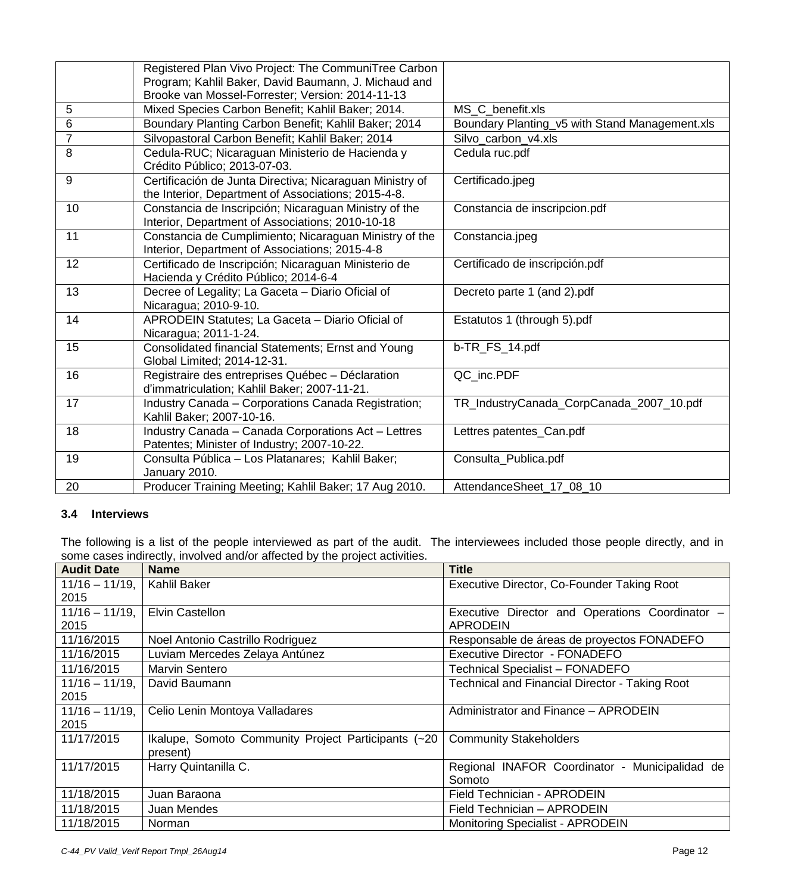|                | Registered Plan Vivo Project: The CommuniTree Carbon     |                                                |
|----------------|----------------------------------------------------------|------------------------------------------------|
|                | Program; Kahlil Baker, David Baumann, J. Michaud and     |                                                |
|                | Brooke van Mossel-Forrester; Version: 2014-11-13         |                                                |
| 5              | Mixed Species Carbon Benefit; Kahlil Baker; 2014.        | MS C benefit.xls                               |
| 6              | Boundary Planting Carbon Benefit; Kahlil Baker; 2014     | Boundary Planting_v5 with Stand Management.xls |
| $\overline{7}$ | Silvopastoral Carbon Benefit; Kahlil Baker; 2014         | Silvo_carbon_v4.xls                            |
| 8              | Cedula-RUC; Nicaraguan Ministerio de Hacienda y          | Cedula ruc.pdf                                 |
|                | Crédito Público; 2013-07-03.                             |                                                |
| 9              | Certificación de Junta Directiva; Nicaraguan Ministry of | Certificado.jpeg                               |
|                | the Interior, Department of Associations; 2015-4-8.      |                                                |
| 10             | Constancia de Inscripción; Nicaraguan Ministry of the    | Constancia de inscripcion.pdf                  |
|                | Interior, Department of Associations; 2010-10-18         |                                                |
| 11             | Constancia de Cumplimiento; Nicaraguan Ministry of the   | Constancia.jpeg                                |
|                | Interior, Department of Associations; 2015-4-8           |                                                |
| 12             | Certificado de Inscripción; Nicaraguan Ministerio de     | Certificado de inscripción.pdf                 |
|                | Hacienda y Crédito Público; 2014-6-4                     |                                                |
| 13             | Decree of Legality; La Gaceta - Diario Oficial of        | Decreto parte 1 (and 2).pdf                    |
|                | Nicaragua; 2010-9-10.                                    |                                                |
| 14             | APRODEIN Statutes; La Gaceta - Diario Oficial of         | Estatutos 1 (through 5).pdf                    |
|                | Nicaragua; 2011-1-24.                                    |                                                |
| 15             | Consolidated financial Statements; Ernst and Young       | b-TR FS 14.pdf                                 |
|                | Global Limited; 2014-12-31.                              |                                                |
| 16             | Registraire des entreprises Québec - Déclaration         | QC inc.PDF                                     |
|                | d'immatriculation; Kahlil Baker; 2007-11-21.             |                                                |
| 17             | Industry Canada - Corporations Canada Registration;      | TR_IndustryCanada_CorpCanada_2007_10.pdf       |
|                | Kahlil Baker; 2007-10-16.                                |                                                |
| 18             | Industry Canada - Canada Corporations Act - Lettres      | Lettres patentes_Can.pdf                       |
|                | Patentes; Minister of Industry; 2007-10-22.              |                                                |
| 19             | Consulta Pública - Los Platanares; Kahlil Baker;         | Consulta_Publica.pdf                           |
|                | January 2010.                                            |                                                |
| 20             | Producer Training Meeting; Kahlil Baker; 17 Aug 2010.    | AttendanceSheet_17_08_10                       |

## <span id="page-11-0"></span>**3.4 Interviews**

The following is a list of the people interviewed as part of the audit. The interviewees included those people directly, and in some cases indirectly, involved and/or affected by the project activities.

| <b>Audit Date</b> | <b>Name</b>                                         | <b>Title</b>                                          |
|-------------------|-----------------------------------------------------|-------------------------------------------------------|
| $11/16 - 11/19$ , | Kahlil Baker                                        | Executive Director, Co-Founder Taking Root            |
| 2015              |                                                     |                                                       |
| $11/16 - 11/19$ , | <b>Elvin Castellon</b>                              | Executive Director and Operations Coordinator -       |
| 2015              |                                                     | <b>APRODEIN</b>                                       |
| 11/16/2015        | Noel Antonio Castrillo Rodriguez                    | Responsable de áreas de proyectos FONADEFO            |
| 11/16/2015        | Luviam Mercedes Zelaya Antúnez                      | Executive Director - FONADEFO                         |
| 11/16/2015        | Marvin Sentero                                      | <b>Technical Specialist - FONADEFO</b>                |
| $11/16 - 11/19$ , | David Baumann                                       | <b>Technical and Financial Director - Taking Root</b> |
| 2015              |                                                     |                                                       |
| $11/16 - 11/19$ , | Celio Lenin Montoya Valladares                      | Administrator and Finance - APRODEIN                  |
| 2015              |                                                     |                                                       |
| 11/17/2015        | Ikalupe, Somoto Community Project Participants (~20 | <b>Community Stakeholders</b>                         |
|                   | present)                                            |                                                       |
| 11/17/2015        | Harry Quintanilla C.                                | Regional INAFOR Coordinator - Municipalidad de        |
|                   |                                                     | Somoto                                                |
| 11/18/2015        | Juan Baraona                                        | Field Technician - APRODEIN                           |
| 11/18/2015        | Juan Mendes                                         | Field Technician - APRODEIN                           |
| 11/18/2015        | Norman                                              | <b>Monitoring Specialist - APRODEIN</b>               |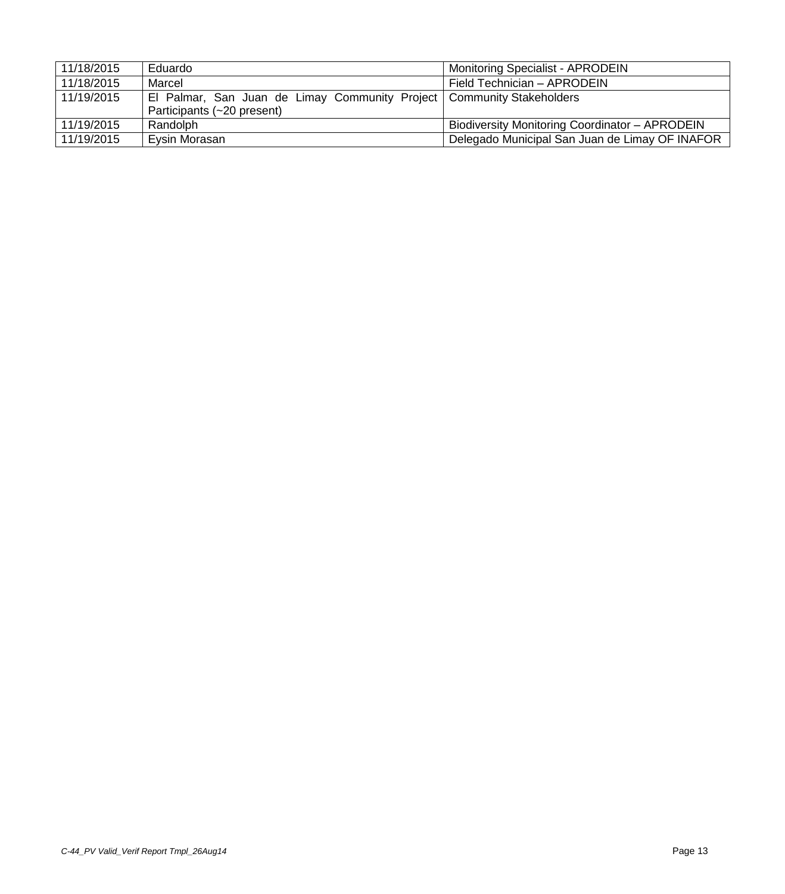| 11/18/2015 | Eduardo                                                                 | <b>Monitoring Specialist - APRODEIN</b>        |
|------------|-------------------------------------------------------------------------|------------------------------------------------|
| 11/18/2015 | Marcel                                                                  | Field Technician - APRODEIN                    |
| 11/19/2015 | El Palmar, San Juan de Limay Community Project   Community Stakeholders |                                                |
|            | Participants (~20 present)                                              |                                                |
| 11/19/2015 | Randolph                                                                | Biodiversity Monitoring Coordinator - APRODEIN |
| 11/19/2015 | Eysin Morasan                                                           | Delegado Municipal San Juan de Limay OF INAFOR |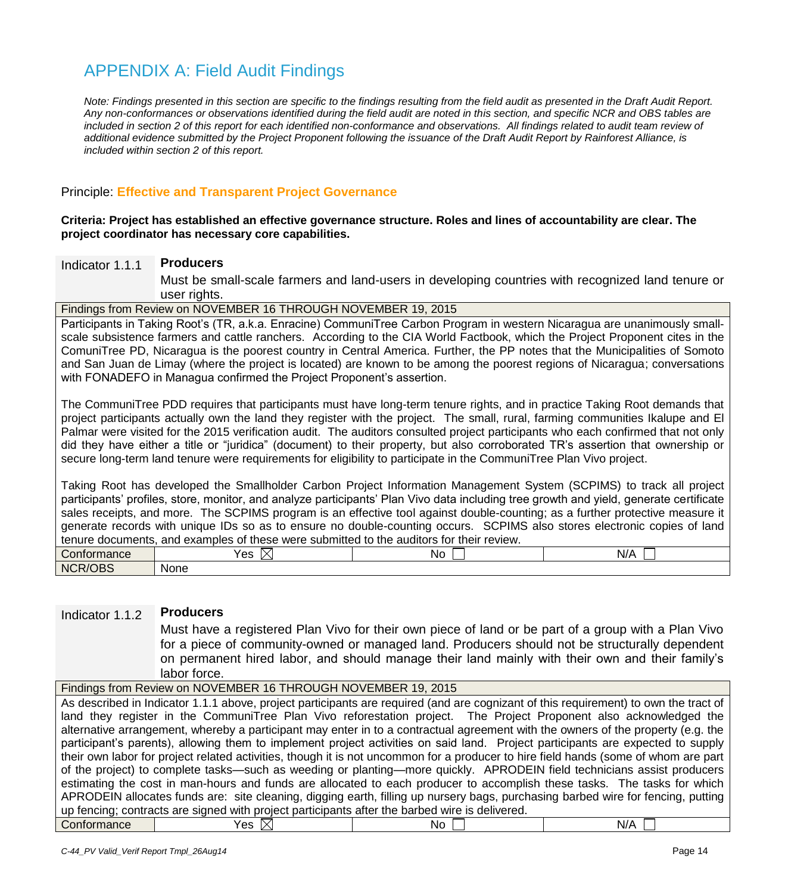## <span id="page-13-0"></span>APPENDIX A: Field Audit Findings

*Note: Findings presented in this section are specific to the findings resulting from the field audit as presented in the Draft Audit Report. Any non-conformances or observations identified during the field audit are noted in this section, and specific NCR and OBS tables are included in section 2 of this report for each identified non-conformance and observations. All findings related to audit team review of additional evidence submitted by the Project Proponent following the issuance of the Draft Audit Report by Rainforest Alliance, is included within section 2 of this report.*

## Principle: **Effective and Transparent Project Governance**

#### **Criteria: Project has established an effective governance structure. Roles and lines of accountability are clear. The project coordinator has necessary core capabilities.**

## Indicator 1.1.1 **Producers**

Must be small-scale farmers and land-users in developing countries with recognized land tenure or user rights.

## Findings from Review on NOVEMBER 16 THROUGH NOVEMBER 19, 2015

Participants in Taking Root's (TR, a.k.a. Enracine) CommuniTree Carbon Program in western Nicaragua are unanimously smallscale subsistence farmers and cattle ranchers. According to the CIA World Factbook, which the Project Proponent cites in the ComuniTree PD, Nicaragua is the poorest country in Central America. Further, the PP notes that the Municipalities of Somoto and San Juan de Limay (where the project is located) are known to be among the poorest regions of Nicaragua; conversations with FONADEFO in Managua confirmed the Project Proponent's assertion.

The CommuniTree PDD requires that participants must have long-term tenure rights, and in practice Taking Root demands that project participants actually own the land they register with the project. The small, rural, farming communities Ikalupe and El Palmar were visited for the 2015 verification audit. The auditors consulted project participants who each confirmed that not only did they have either a title or "juridica" (document) to their property, but also corroborated TR's assertion that ownership or secure long-term land tenure were requirements for eligibility to participate in the CommuniTree Plan Vivo project.

Taking Root has developed the Smallholder Carbon Project Information Management System (SCPIMS) to track all project participants' profiles, store, monitor, and analyze participants' Plan Vivo data including tree growth and yield, generate certificate sales receipts, and more. The SCPIMS program is an effective tool against double-counting; as a further protective measure it generate records with unique IDs so as to ensure no double-counting occurs. SCPIMS also stores electronic copies of land tenure documents, and examples of these were submitted to the auditors for their review.

| Confor                                        | Yes    | Nc | .   |
|-----------------------------------------------|--------|----|-----|
| nance                                         | $\sim$ |    | N/P |
| <b>NCF</b><br>DBS<br>$\overline{\mathcal{Q}}$ | None   |    |     |

## Indicator 1.1.2 **Producers**

Must have a registered Plan Vivo for their own piece of land or be part of a group with a Plan Vivo for a piece of community-owned or managed land. Producers should not be structurally dependent on permanent hired labor, and should manage their land mainly with their own and their family's labor force.

Findings from Review on NOVEMBER 16 THROUGH NOVEMBER 19, 2015

As described in Indicator 1.1.1 above, project participants are required (and are cognizant of this requirement) to own the tract of land they register in the CommuniTree Plan Vivo reforestation project. The Project Proponent also acknowledged the alternative arrangement, whereby a participant may enter in to a contractual agreement with the owners of the property (e.g. the participant's parents), allowing them to implement project activities on said land. Project participants are expected to supply their own labor for project related activities, though it is not uncommon for a producer to hire field hands (some of whom are part of the project) to complete tasks—such as weeding or planting—more quickly. APRODEIN field technicians assist producers estimating the cost in man-hours and funds are allocated to each producer to accomplish these tasks. The tasks for which APRODEIN allocates funds are: site cleaning, digging earth, filling up nursery bags, purchasing barbed wire for fencing, putting up fencing; contracts are signed with project participants after the barbed wire is delivered.  $\blacksquare$   $\blacksquare$   $\blacksquare$   $\blacksquare$   $\blacksquare$   $\blacksquare$   $\blacksquare$   $\blacksquare$   $\blacksquare$   $\blacksquare$   $\blacksquare$   $\blacksquare$   $\blacksquare$   $\blacksquare$   $\blacksquare$   $\blacksquare$   $\blacksquare$   $\blacksquare$   $\blacksquare$   $\blacksquare$   $\blacksquare$   $\blacksquare$   $\blacksquare$   $\blacksquare$   $\blacksquare$   $\blacksquare$   $\blacksquare$   $\blacksquare$   $\blacksquare$   $\blacksquare$   $\blacksquare$   $\blacks$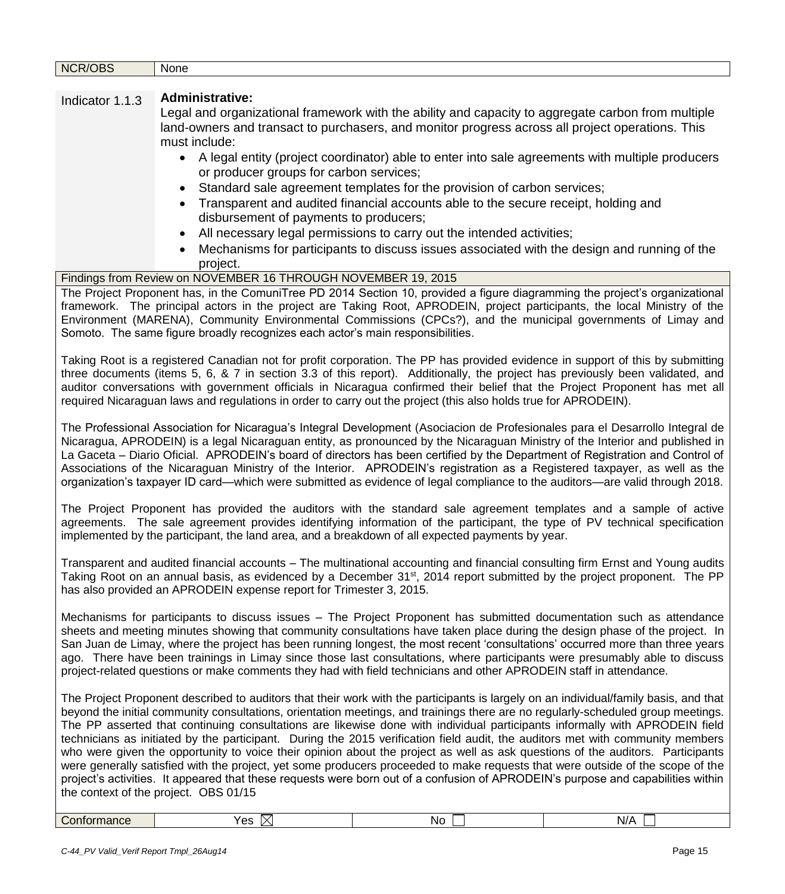| NCR/OBS         | None                                                                                                                                                                                                                                                          |                                                                                                   |     |
|-----------------|---------------------------------------------------------------------------------------------------------------------------------------------------------------------------------------------------------------------------------------------------------------|---------------------------------------------------------------------------------------------------|-----|
|                 |                                                                                                                                                                                                                                                               |                                                                                                   |     |
| Indicator 1.1.3 | <b>Administrative:</b>                                                                                                                                                                                                                                        |                                                                                                   |     |
|                 | Legal and organizational framework with the ability and capacity to aggregate carbon from multiple                                                                                                                                                            |                                                                                                   |     |
|                 | land-owners and transact to purchasers, and monitor progress across all project operations. This                                                                                                                                                              |                                                                                                   |     |
|                 | must include:                                                                                                                                                                                                                                                 |                                                                                                   |     |
|                 |                                                                                                                                                                                                                                                               | • A legal entity (project coordinator) able to enter into sale agreements with multiple producers |     |
|                 | or producer groups for carbon services;                                                                                                                                                                                                                       |                                                                                                   |     |
|                 |                                                                                                                                                                                                                                                               | Standard sale agreement templates for the provision of carbon services;                           |     |
|                 |                                                                                                                                                                                                                                                               | Transparent and audited financial accounts able to the secure receipt, holding and                |     |
|                 | disbursement of payments to producers;                                                                                                                                                                                                                        |                                                                                                   |     |
|                 | $\bullet$                                                                                                                                                                                                                                                     | All necessary legal permissions to carry out the intended activities;                             |     |
|                 |                                                                                                                                                                                                                                                               | Mechanisms for participants to discuss issues associated with the design and running of the       |     |
|                 | project.                                                                                                                                                                                                                                                      |                                                                                                   |     |
|                 | Findings from Review on NOVEMBER 16 THROUGH NOVEMBER 19, 2015                                                                                                                                                                                                 |                                                                                                   |     |
|                 | The Project Proponent has, in the ComuniTree PD 2014 Section 10, provided a figure diagramming the project's organizational                                                                                                                                   |                                                                                                   |     |
|                 | framework. The principal actors in the project are Taking Root, APRODEIN, project participants, the local Ministry of the<br>Environment (MARENA), Community Environmental Commissions (CPCs?), and the municipal governments of Limay and                    |                                                                                                   |     |
|                 | Somoto. The same figure broadly recognizes each actor's main responsibilities.                                                                                                                                                                                |                                                                                                   |     |
|                 |                                                                                                                                                                                                                                                               |                                                                                                   |     |
|                 | Taking Root is a registered Canadian not for profit corporation. The PP has provided evidence in support of this by submitting                                                                                                                                |                                                                                                   |     |
|                 | three documents (items 5, 6, & 7 in section 3.3 of this report). Additionally, the project has previously been validated, and                                                                                                                                 |                                                                                                   |     |
|                 | auditor conversations with government officials in Nicaragua confirmed their belief that the Project Proponent has met all                                                                                                                                    |                                                                                                   |     |
|                 | required Nicaraguan laws and regulations in order to carry out the project (this also holds true for APRODEIN).                                                                                                                                               |                                                                                                   |     |
|                 | The Professional Association for Nicaragua's Integral Development (Asociacion de Profesionales para el Desarrollo Integral de                                                                                                                                 |                                                                                                   |     |
|                 | Nicaragua, APRODEIN) is a legal Nicaraguan entity, as pronounced by the Nicaraguan Ministry of the Interior and published in                                                                                                                                  |                                                                                                   |     |
|                 | La Gaceta – Diario Oficial. APRODEIN's board of directors has been certified by the Department of Registration and Control of                                                                                                                                 |                                                                                                   |     |
|                 | Associations of the Nicaraguan Ministry of the Interior. APRODEIN's registration as a Registered taxpayer, as well as the                                                                                                                                     |                                                                                                   |     |
|                 | organization's taxpayer ID card—which were submitted as evidence of legal compliance to the auditors—are valid through 2018.                                                                                                                                  |                                                                                                   |     |
|                 |                                                                                                                                                                                                                                                               |                                                                                                   |     |
|                 | The Project Proponent has provided the auditors with the standard sale agreement templates and a sample of active                                                                                                                                             |                                                                                                   |     |
|                 | agreements. The sale agreement provides identifying information of the participant, the type of PV technical specification<br>implemented by the participant, the land area, and a breakdown of all expected payments by year.                                |                                                                                                   |     |
|                 |                                                                                                                                                                                                                                                               |                                                                                                   |     |
|                 | Transparent and audited financial accounts – The multinational accounting and financial consulting firm Ernst and Young audits                                                                                                                                |                                                                                                   |     |
|                 | Taking Root on an annual basis, as evidenced by a December 31 <sup>st</sup> , 2014 report submitted by the project proponent. The PP                                                                                                                          |                                                                                                   |     |
|                 | has also provided an APRODEIN expense report for Trimester 3, 2015.                                                                                                                                                                                           |                                                                                                   |     |
|                 |                                                                                                                                                                                                                                                               |                                                                                                   |     |
|                 | Mechanisms for participants to discuss issues – The Project Proponent has submitted documentation such as attendance                                                                                                                                          |                                                                                                   |     |
|                 | sheets and meeting minutes showing that community consultations have taken place during the design phase of the project. In<br>San Juan de Limay, where the project has been running longest, the most recent 'consultations' occurred more than three years  |                                                                                                   |     |
|                 | ago. There have been trainings in Limay since those last consultations, where participants were presumably able to discuss                                                                                                                                    |                                                                                                   |     |
|                 | project-related questions or make comments they had with field technicians and other APRODEIN staff in attendance.                                                                                                                                            |                                                                                                   |     |
|                 |                                                                                                                                                                                                                                                               |                                                                                                   |     |
|                 | The Project Proponent described to auditors that their work with the participants is largely on an individual/family basis, and that                                                                                                                          |                                                                                                   |     |
|                 | beyond the initial community consultations, orientation meetings, and trainings there are no regularly-scheduled group meetings.                                                                                                                              |                                                                                                   |     |
|                 | The PP asserted that continuing consultations are likewise done with individual participants informally with APRODEIN field<br>technicians as initiated by the participant. During the 2015 verification field audit, the auditors met with community members |                                                                                                   |     |
|                 | who were given the opportunity to voice their opinion about the project as well as ask questions of the auditors. Participants                                                                                                                                |                                                                                                   |     |
|                 | were generally satisfied with the project, yet some producers proceeded to make requests that were outside of the scope of the                                                                                                                                |                                                                                                   |     |
|                 | project's activities. It appeared that these requests were born out of a confusion of APRODEIN's purpose and capabilities within                                                                                                                              |                                                                                                   |     |
|                 | the context of the project. OBS 01/15                                                                                                                                                                                                                         |                                                                                                   |     |
|                 |                                                                                                                                                                                                                                                               |                                                                                                   |     |
| Conformance     | Yes $\boxtimes$                                                                                                                                                                                                                                               | No                                                                                                | N/A |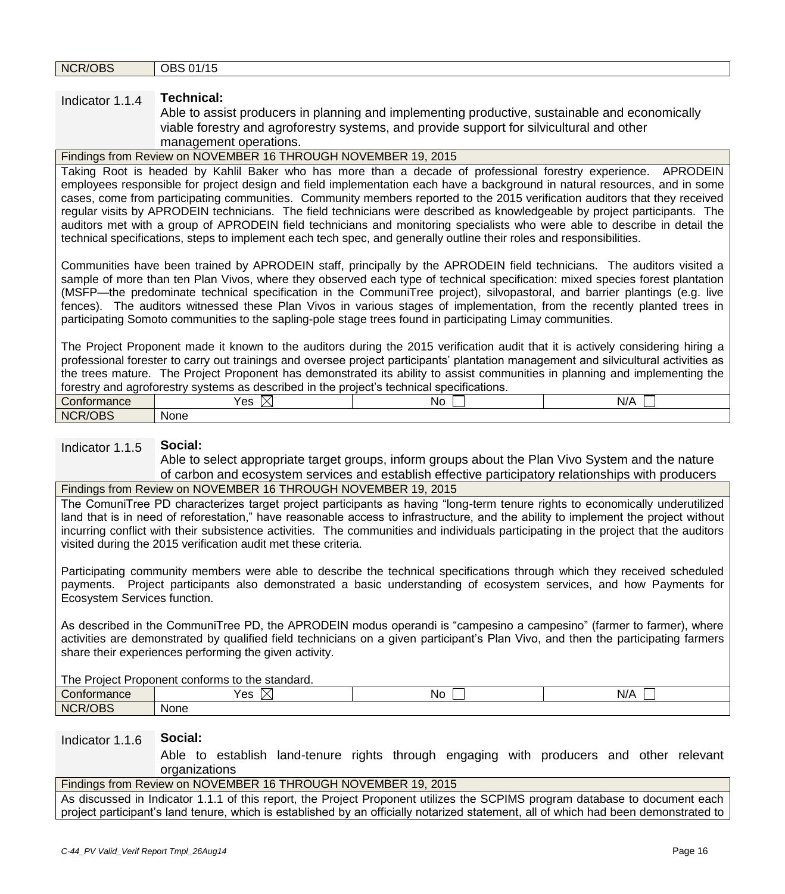## Indicator 1.1.4 **Technical:**

Able to assist producers in planning and implementing productive, sustainable and economically viable forestry and agroforestry systems, and provide support for silvicultural and other management operations.

## Findings from Review on NOVEMBER 16 THROUGH NOVEMBER 19, 2015

Taking Root is headed by Kahlil Baker who has more than a decade of professional forestry experience. APRODEIN employees responsible for project design and field implementation each have a background in natural resources, and in some cases, come from participating communities. Community members reported to the 2015 verification auditors that they received regular visits by APRODEIN technicians. The field technicians were described as knowledgeable by project participants. The auditors met with a group of APRODEIN field technicians and monitoring specialists who were able to describe in detail the technical specifications, steps to implement each tech spec, and generally outline their roles and responsibilities.

Communities have been trained by APRODEIN staff, principally by the APRODEIN field technicians. The auditors visited a sample of more than ten Plan Vivos, where they observed each type of technical specification: mixed species forest plantation (MSFP—the predominate technical specification in the CommuniTree project), silvopastoral, and barrier plantings (e.g. live fences). The auditors witnessed these Plan Vivos in various stages of implementation, from the recently planted trees in participating Somoto communities to the sapling-pole stage trees found in participating Limay communities.

The Project Proponent made it known to the auditors during the 2015 verification audit that it is actively considering hiring a professional forester to carry out trainings and oversee project participants' plantation management and silvicultural activities as the trees mature. The Project Proponent has demonstrated its ability to assist communities in planning and implementing the forestry and agroforestry systems as described in the project's technical specifications.

| Confu<br>ાતાાડા                 | Yes<br>. .<br>$\sim$ | No | $\cdots$<br>. II<br>IV/ |
|---------------------------------|----------------------|----|-------------------------|
| 100 <sub>2</sub><br>NCR/<br>JBS | <b>None</b>          |    |                         |

#### Indicator 1.1.5 **Social:**

Able to select appropriate target groups, inform groups about the Plan Vivo System and the nature of carbon and ecosystem services and establish effective participatory relationships with producers

## Findings from Review on NOVEMBER 16 THROUGH NOVEMBER 19, 2015

The ComuniTree PD characterizes target project participants as having "long-term tenure rights to economically underutilized land that is in need of reforestation," have reasonable access to infrastructure, and the ability to implement the project without incurring conflict with their subsistence activities. The communities and individuals participating in the project that the auditors visited during the 2015 verification audit met these criteria.

Participating community members were able to describe the technical specifications through which they received scheduled payments. Project participants also demonstrated a basic understanding of ecosystem services, and how Payments for Ecosystem Services function.

As described in the CommuniTree PD, the APRODEIN modus operandi is "campesino a campesino" (farmer to farmer), where activities are demonstrated by qualified field technicians on a given participant's Plan Vivo, and then the participating farmers share their experiences performing the given activity.

#### The Project Proponent conforms to the standard.

| .<br>.                 |                          |    |            |  |
|------------------------|--------------------------|----|------------|--|
| $    -$<br>Conformance | ∨ ∆c<br>ັບ<br>$\sqrt{ }$ | No | £<br>$N$ / |  |
| )BS<br>NCR/G           | None                     |    |            |  |

## Indicator 1.1.6 **Social:**

Able to establish land-tenure rights through engaging with producers and other relevant organizations

## Findings from Review on NOVEMBER 16 THROUGH NOVEMBER 19, 2015

As discussed in Indicator 1.1.1 of this report, the Project Proponent utilizes the SCPIMS program database to document each project participant's land tenure, which is established by an officially notarized statement, all of which had been demonstrated to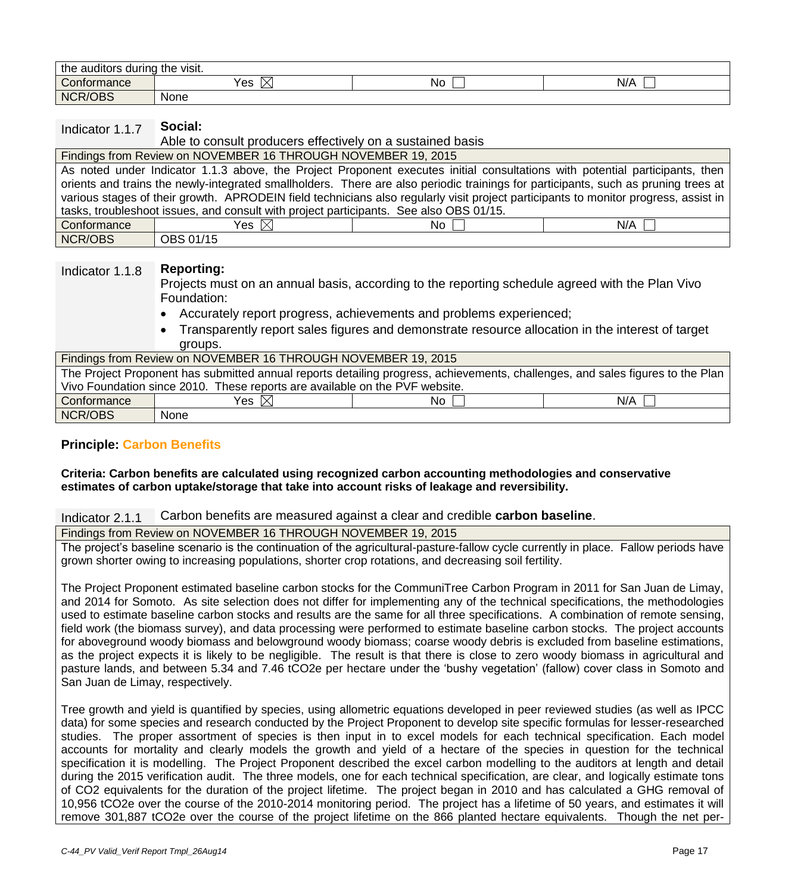| the<br>the<br>auditors during :<br>∵vısıt. |      |     |     |  |
|--------------------------------------------|------|-----|-----|--|
| $\sim$<br>Conformance                      | Yes  | NC. | N/F |  |
| <b>NCR/OBS</b>                             | None |     |     |  |

## Indicator 1.1.7 **Social:**

Able to consult producers effectively on a sustained basis

#### Findings from Review on NOVEMBER 16 THROUGH NOVEMBER 19, 2015

As noted under Indicator 1.1.3 above, the Project Proponent executes initial consultations with potential participants, then orients and trains the newly-integrated smallholders. There are also periodic trainings for participants, such as pruning trees at various stages of their growth. APRODEIN field technicians also regularly visit project participants to monitor progress, assist in tasks, troubleshoot issues, and consult with project participants. See also OBS 01/15.  $\begin{array}{ccc} \text{Conformance} & | & \text{Yes} \boxtimes & | & \text{No} \square & | & \text{N/A} \end{array}$ 

| NCR/OBS | $\overline{)$ OBS 01/15 |
|---------|-------------------------|

## Indicator 1.1.8 **Reporting:**

Projects must on an annual basis, according to the reporting schedule agreed with the Plan Vivo Foundation:

- Accurately report progress, achievements and problems experienced;
- Transparently report sales figures and demonstrate resource allocation in the interest of target groups.

| Findings from Review on NOVEMBER 16 THROUGH NOVEMBER 19, 2015                                                                  |                                                                             |                 |     |  |
|--------------------------------------------------------------------------------------------------------------------------------|-----------------------------------------------------------------------------|-----------------|-----|--|
| The Project Proponent has submitted annual reports detailing progress, achievements, challenges, and sales figures to the Plan |                                                                             |                 |     |  |
|                                                                                                                                | Vivo Foundation since 2010. These reports are available on the PVF website. |                 |     |  |
| Conformance                                                                                                                    | Yes $\boxtimes$                                                             | No <sub>1</sub> | N/A |  |
| NCR/OBS                                                                                                                        | <b>None</b>                                                                 |                 |     |  |

## **Principle: Carbon Benefits**

#### **Criteria: Carbon benefits are calculated using recognized carbon accounting methodologies and conservative estimates of carbon uptake/storage that take into account risks of leakage and reversibility.**

## Indicator 2.1.1 Carbon benefits are measured against a clear and credible **carbon baseline**.

Findings from Review on NOVEMBER 16 THROUGH NOVEMBER 19, 2015

The project's baseline scenario is the continuation of the agricultural-pasture-fallow cycle currently in place. Fallow periods have grown shorter owing to increasing populations, shorter crop rotations, and decreasing soil fertility.

The Project Proponent estimated baseline carbon stocks for the CommuniTree Carbon Program in 2011 for San Juan de Limay, and 2014 for Somoto. As site selection does not differ for implementing any of the technical specifications, the methodologies used to estimate baseline carbon stocks and results are the same for all three specifications. A combination of remote sensing, field work (the biomass survey), and data processing were performed to estimate baseline carbon stocks. The project accounts for aboveground woody biomass and belowground woody biomass; coarse woody debris is excluded from baseline estimations, as the project expects it is likely to be negligible. The result is that there is close to zero woody biomass in agricultural and pasture lands, and between 5.34 and 7.46 tCO2e per hectare under the 'bushy vegetation' (fallow) cover class in Somoto and San Juan de Limay, respectively.

Tree growth and yield is quantified by species, using allometric equations developed in peer reviewed studies (as well as IPCC data) for some species and research conducted by the Project Proponent to develop site specific formulas for lesser-researched studies. The proper assortment of species is then input in to excel models for each technical specification. Each model accounts for mortality and clearly models the growth and yield of a hectare of the species in question for the technical specification it is modelling. The Project Proponent described the excel carbon modelling to the auditors at length and detail during the 2015 verification audit. The three models, one for each technical specification, are clear, and logically estimate tons of CO2 equivalents for the duration of the project lifetime. The project began in 2010 and has calculated a GHG removal of 10,956 tCO2e over the course of the 2010-2014 monitoring period. The project has a lifetime of 50 years, and estimates it will remove 301,887 tCO2e over the course of the project lifetime on the 866 planted hectare equivalents. Though the net per-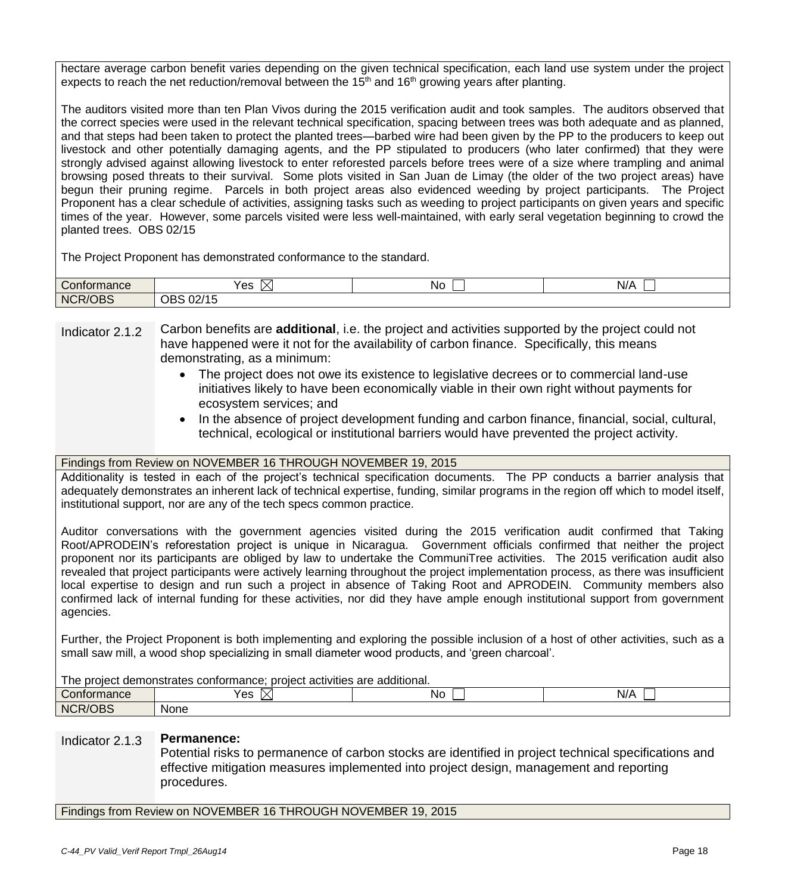hectare average carbon benefit varies depending on the given technical specification, each land use system under the project expects to reach the net reduction/removal between the  $15<sup>th</sup>$  and  $16<sup>th</sup>$  growing years after planting.

The auditors visited more than ten Plan Vivos during the 2015 verification audit and took samples. The auditors observed that the correct species were used in the relevant technical specification, spacing between trees was both adequate and as planned, and that steps had been taken to protect the planted trees—barbed wire had been given by the PP to the producers to keep out livestock and other potentially damaging agents, and the PP stipulated to producers (who later confirmed) that they were strongly advised against allowing livestock to enter reforested parcels before trees were of a size where trampling and animal browsing posed threats to their survival. Some plots visited in San Juan de Limay (the older of the two project areas) have begun their pruning regime. Parcels in both project areas also evidenced weeding by project participants. The Project Proponent has a clear schedule of activities, assigning tasks such as weeding to project participants on given years and specific times of the year. However, some parcels visited were less well-maintained, with early seral vegetation beginning to crowd the planted trees. OBS 02/15

The Project Proponent has demonstrated conformance to the standard.

| $\sim$<br>Conformance                     | Yes                                          | No | . .<br>N//<br>$\overline{\phantom{a}}$ |
|-------------------------------------------|----------------------------------------------|----|----------------------------------------|
| $\sim$ $\sim$ $\sim$<br><b>NCR</b><br>DB2 | <b>OBS</b><br>$0.011$ $-$<br>.<br>UZ.<br>ט ו |    |                                        |

Indicator 2.1.2 Carbon benefits are **additional**, i.e. the project and activities supported by the project could not have happened were it not for the availability of carbon finance. Specifically, this means demonstrating, as a minimum:

- The project does not owe its existence to legislative decrees or to commercial land-use initiatives likely to have been economically viable in their own right without payments for ecosystem services; and
- In the absence of project development funding and carbon finance, financial, social, cultural, technical, ecological or institutional barriers would have prevented the project activity.

## Findings from Review on NOVEMBER 16 THROUGH NOVEMBER 19, 2015

Additionality is tested in each of the project's technical specification documents. The PP conducts a barrier analysis that adequately demonstrates an inherent lack of technical expertise, funding, similar programs in the region off which to model itself, institutional support, nor are any of the tech specs common practice.

Auditor conversations with the government agencies visited during the 2015 verification audit confirmed that Taking Root/APRODEIN's reforestation project is unique in Nicaragua. Government officials confirmed that neither the project proponent nor its participants are obliged by law to undertake the CommuniTree activities. The 2015 verification audit also revealed that project participants were actively learning throughout the project implementation process, as there was insufficient local expertise to design and run such a project in absence of Taking Root and APRODEIN. Community members also confirmed lack of internal funding for these activities, nor did they have ample enough institutional support from government agencies.

Further, the Project Proponent is both implementing and exploring the possible inclusion of a host of other activities, such as a small saw mill, a wood shop specializing in small diameter wood products, and 'green charcoal'.

| : proiect activities are additional.<br>The project demonstrates conformance; |                        |  |  |  |
|-------------------------------------------------------------------------------|------------------------|--|--|--|
| Contormance                                                                   | Yes<br>Nc<br>N/P<br>∧∣ |  |  |  |
| <b>NCR/OBS</b>                                                                | <b>None</b>            |  |  |  |

## Indicator 2.1.3 **Permanence:**

Potential risks to permanence of carbon stocks are identified in project technical specifications and effective mitigation measures implemented into project design, management and reporting procedures.

Findings from Review on NOVEMBER 16 THROUGH NOVEMBER 19, 2015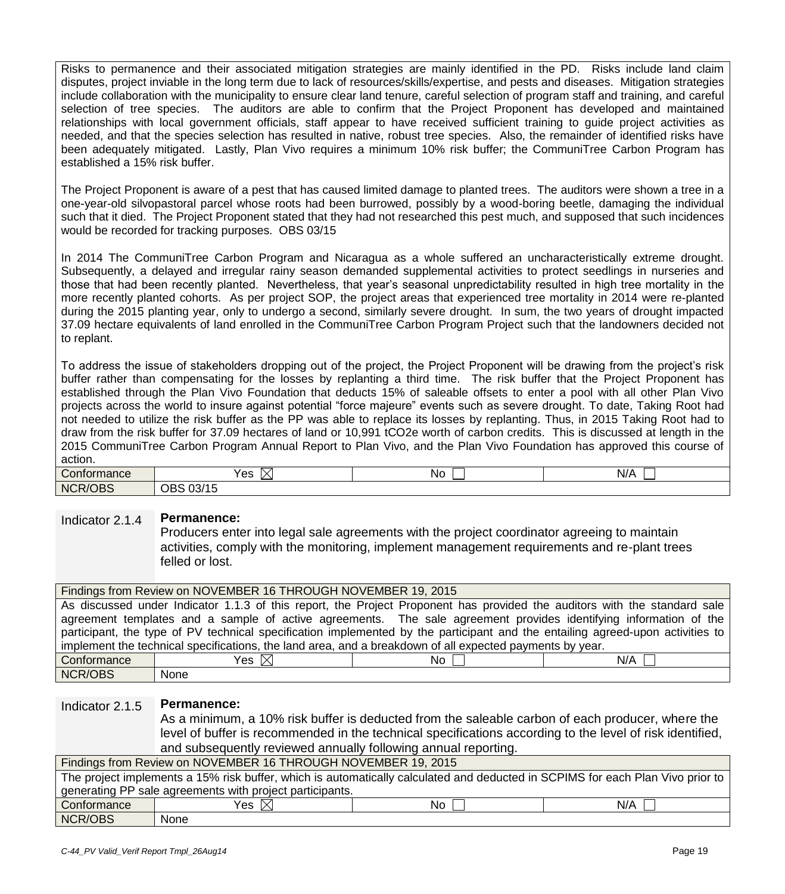Risks to permanence and their associated mitigation strategies are mainly identified in the PD. Risks include land claim disputes, project inviable in the long term due to lack of resources/skills/expertise, and pests and diseases. Mitigation strategies include collaboration with the municipality to ensure clear land tenure, careful selection of program staff and training, and careful selection of tree species. The auditors are able to confirm that the Project Proponent has developed and maintained relationships with local government officials, staff appear to have received sufficient training to guide project activities as needed, and that the species selection has resulted in native, robust tree species. Also, the remainder of identified risks have been adequately mitigated. Lastly, Plan Vivo requires a minimum 10% risk buffer; the CommuniTree Carbon Program has established a 15% risk buffer.

The Project Proponent is aware of a pest that has caused limited damage to planted trees. The auditors were shown a tree in a one-year-old silvopastoral parcel whose roots had been burrowed, possibly by a wood-boring beetle, damaging the individual such that it died. The Project Proponent stated that they had not researched this pest much, and supposed that such incidences would be recorded for tracking purposes. OBS 03/15

In 2014 The CommuniTree Carbon Program and Nicaragua as a whole suffered an uncharacteristically extreme drought. Subsequently, a delayed and irregular rainy season demanded supplemental activities to protect seedlings in nurseries and those that had been recently planted. Nevertheless, that year's seasonal unpredictability resulted in high tree mortality in the more recently planted cohorts. As per project SOP, the project areas that experienced tree mortality in 2014 were re-planted during the 2015 planting year, only to undergo a second, similarly severe drought. In sum, the two years of drought impacted 37.09 hectare equivalents of land enrolled in the CommuniTree Carbon Program Project such that the landowners decided not to replant.

To address the issue of stakeholders dropping out of the project, the Project Proponent will be drawing from the project's risk buffer rather than compensating for the losses by replanting a third time. The risk buffer that the Project Proponent has established through the Plan Vivo Foundation that deducts 15% of saleable offsets to enter a pool with all other Plan Vivo projects across the world to insure against potential "force majeure" events such as severe drought. To date, Taking Root had not needed to utilize the risk buffer as the PP was able to replace its losses by replanting. Thus, in 2015 Taking Root had to draw from the risk buffer for 37.09 hectares of land or 10,991 tCO2e worth of carbon credits. This is discussed at length in the 2015 CommuniTree Carbon Program Annual Report to Plan Vivo, and the Plan Vivo Foundation has approved this course of action.

| Conformance    | Yes<br>$\sim$               | No | $\cdot$ $\cdot$<br>N/A |
|----------------|-----------------------------|----|------------------------|
| <b>NCR/OBS</b> | OBS<br>0.011E<br>וכט<br>ں ו |    |                        |

## Indicator 2.1.4 **Permanence:**

Producers enter into legal sale agreements with the project coordinator agreeing to maintain activities, comply with the monitoring, implement management requirements and re-plant trees felled or lost.

| Findings from Review on NOVEMBER 16 THROUGH NOVEMBER 19, 2015                                                             |                                                                                                                                |  |  |  |
|---------------------------------------------------------------------------------------------------------------------------|--------------------------------------------------------------------------------------------------------------------------------|--|--|--|
| As discussed under Indicator 1.1.3 of this report, the Project Proponent has provided the auditors with the standard sale |                                                                                                                                |  |  |  |
|                                                                                                                           | agreement templates and a sample of active agreements. The sale agreement provides identifying information of the              |  |  |  |
|                                                                                                                           | participant, the type of PV technical specification implemented by the participant and the entailing agreed-upon activities to |  |  |  |
| implement the technical specifications, the land area, and a breakdown of all expected payments by year.                  |                                                                                                                                |  |  |  |
| Conformance                                                                                                               | Yes $\boxtimes$<br>No I<br>N/A                                                                                                 |  |  |  |
| NCR/OBS                                                                                                                   | <b>None</b>                                                                                                                    |  |  |  |

## Indicator 2.1.5 **Permanence:**

As a minimum, a 10% risk buffer is deducted from the saleable carbon of each producer, where the level of buffer is recommended in the technical specifications according to the level of risk identified, and subsequently reviewed annually following annual reporting.

| Findings from Review on NOVEMBER 16 THROUGH NOVEMBER 19, 2015                                                                  |                 |    |     |  |
|--------------------------------------------------------------------------------------------------------------------------------|-----------------|----|-----|--|
| The project implements a 15% risk buffer, which is automatically calculated and deducted in SCPIMS for each Plan Vivo prior to |                 |    |     |  |
| generating PP sale agreements with project participants.                                                                       |                 |    |     |  |
| Conformance                                                                                                                    | Yes $\boxtimes$ | No | N/A |  |
| NCR/OBS                                                                                                                        | <b>None</b>     |    |     |  |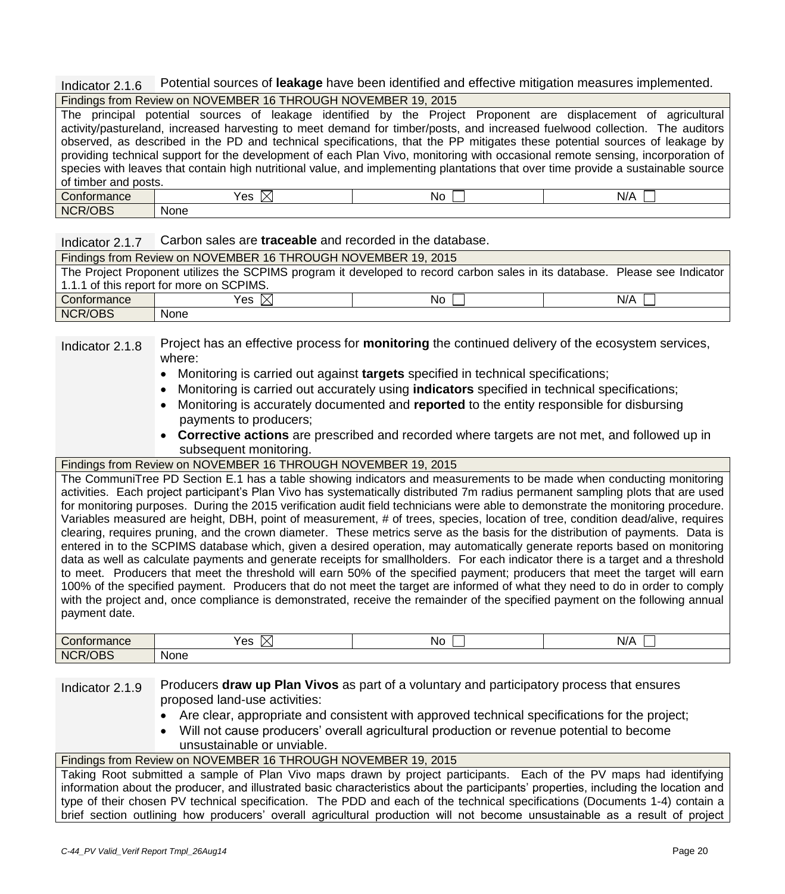Indicator 2.1.6 Potential sources of **leakage** have been identified and effective mitigation measures implemented.

|  | Findings from Review on NOVEMBER 16 THROUGH NOVEMBER 19, 2015 |
|--|---------------------------------------------------------------|
|  |                                                               |

|                                                                                                                                   | The principal potential sources of leakage identified by the Project Proponent are displacement of agricultural                |  |       |         |  |
|-----------------------------------------------------------------------------------------------------------------------------------|--------------------------------------------------------------------------------------------------------------------------------|--|-------|---------|--|
|                                                                                                                                   | activity/pastureland, increased harvesting to meet demand for timber/posts, and increased fuelwood collection. The auditors    |  |       |         |  |
|                                                                                                                                   | observed, as described in the PD and technical specifications, that the PP mitigates these potential sources of leakage by     |  |       |         |  |
|                                                                                                                                   | providing technical support for the development of each Plan Vivo, monitoring with occasional remote sensing, incorporation of |  |       |         |  |
| species with leaves that contain high nutritional value, and implementing plantations that over time provide a sustainable source |                                                                                                                                |  |       |         |  |
| of timber and posts.                                                                                                              |                                                                                                                                |  |       |         |  |
| Conformance                                                                                                                       | Yes $\boxtimes$                                                                                                                |  | No II | $N/A$ 1 |  |
| NCR/OBS                                                                                                                           | None                                                                                                                           |  |       |         |  |

## Indicator 2.1.7 Carbon sales are **traceable** and recorded in the database.

| Findings from Review on NOVEMBER 16 THROUGH NOVEMBER 19, 2015                                                               |                 |    |     |
|-----------------------------------------------------------------------------------------------------------------------------|-----------------|----|-----|
| The Project Proponent utilizes the SCPIMS program it developed to record carbon sales in its database. Please see Indicator |                 |    |     |
| 1.1.1 of this report for more on SCPIMS.                                                                                    |                 |    |     |
| Conformance                                                                                                                 | Yes $\boxtimes$ | No | N/A |
| NCR/OBS                                                                                                                     | None            |    |     |

Indicator 2.1.8 Project has an effective process for **monitoring** the continued delivery of the ecosystem services, where:

- Monitoring is carried out against **targets** specified in technical specifications;
- Monitoring is carried out accurately using **indicators** specified in technical specifications;
- Monitoring is accurately documented and **reported** to the entity responsible for disbursing payments to producers;
- **Corrective actions** are prescribed and recorded where targets are not met, and followed up in subsequent monitoring.

## Findings from Review on NOVEMBER 16 THROUGH NOVEMBER 19, 2015

The CommuniTree PD Section E.1 has a table showing indicators and measurements to be made when conducting monitoring activities. Each project participant's Plan Vivo has systematically distributed 7m radius permanent sampling plots that are used for monitoring purposes. During the 2015 verification audit field technicians were able to demonstrate the monitoring procedure. Variables measured are height, DBH, point of measurement, # of trees, species, location of tree, condition dead/alive, requires clearing, requires pruning, and the crown diameter. These metrics serve as the basis for the distribution of payments. Data is entered in to the SCPIMS database which, given a desired operation, may automatically generate reports based on monitoring data as well as calculate payments and generate receipts for smallholders. For each indicator there is a target and a threshold to meet. Producers that meet the threshold will earn 50% of the specified payment; producers that meet the target will earn 100% of the specified payment. Producers that do not meet the target are informed of what they need to do in order to comply with the project and, once compliance is demonstrated, receive the remainder of the specified payment on the following annual payment date.

| $\sim$<br>Conformance | Yes⊹         | No | N/A |
|-----------------------|--------------|----|-----|
| <b>NCR/OBS</b>        | None<br>____ |    |     |

## Indicator 2.1.9 Producers **draw up Plan Vivos** as part of a voluntary and participatory process that ensures proposed land-use activities:

- Are clear, appropriate and consistent with approved technical specifications for the project;
- Will not cause producers' overall agricultural production or revenue potential to become unsustainable or unviable.

## Findings from Review on NOVEMBER 16 THROUGH NOVEMBER 19, 2015

Taking Root submitted a sample of Plan Vivo maps drawn by project participants. Each of the PV maps had identifying information about the producer, and illustrated basic characteristics about the participants' properties, including the location and type of their chosen PV technical specification. The PDD and each of the technical specifications (Documents 1-4) contain a brief section outlining how producers' overall agricultural production will not become unsustainable as a result of project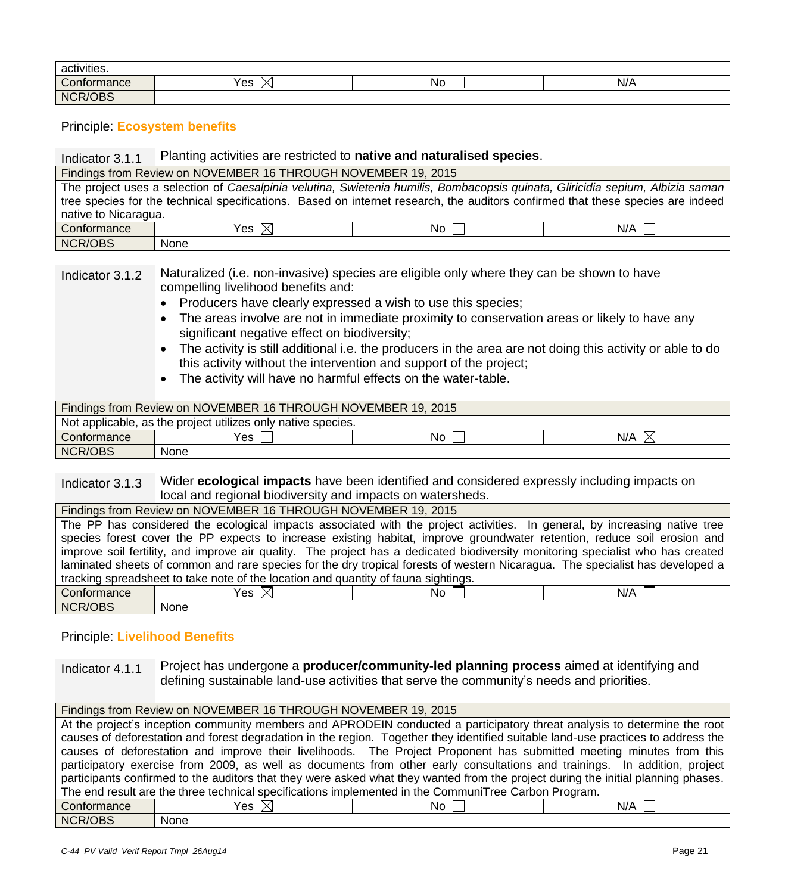| activities.           |           |    |     |
|-----------------------|-----------|----|-----|
| $\sim$<br>Conformance | Yes<br>IX | No | N/A |
| <b>NCR/OBS</b>        |           |    |     |

Principle: **Ecosystem benefits**

#### Indicator 3.1.1 Planting activities are restricted to **native and naturalised species**.

|                                                                                                                                | Findings from Review on NOVEMBER 16 THROUGH NOVEMBER 19, 2015                                                                   |      |     |
|--------------------------------------------------------------------------------------------------------------------------------|---------------------------------------------------------------------------------------------------------------------------------|------|-----|
| The project uses a selection of Caesalpinia velutina, Swietenia humilis, Bombacopsis quinata, Gliricidia sepium, Albizia saman |                                                                                                                                 |      |     |
|                                                                                                                                | tree species for the technical specifications. Based on internet research, the auditors confirmed that these species are indeed |      |     |
| native to Nicaragua.                                                                                                           |                                                                                                                                 |      |     |
| Conformance                                                                                                                    | Yes $\boxtimes$                                                                                                                 | No I | N/A |
| NCR/OBS                                                                                                                        | None                                                                                                                            |      |     |

## Indicator 3.1.2 Naturalized (i.e. non-invasive) species are eligible only where they can be shown to have compelling livelihood benefits and:

- Producers have clearly expressed a wish to use this species;
- The areas involve are not in immediate proximity to conservation areas or likely to have any significant negative effect on biodiversity;
- The activity is still additional i.e. the producers in the area are not doing this activity or able to do this activity without the intervention and support of the project;
- The activity will have no harmful effects on the water-table.

| Findings from Review on NOVEMBER 16 THROUGH NOVEMBER 19, 2015 |      |    |           |
|---------------------------------------------------------------|------|----|-----------|
| Not applicable, as the project utilizes only native species.  |      |    |           |
| Conformance                                                   | Yes  | No | N/A<br>IX |
| NCR/OBS                                                       | None |    |           |

## Indicator 3.1.3 Wider **ecological impacts** have been identified and considered expressly including impacts on local and regional biodiversity and impacts on watersheds.

| Findings from Review on NOVEMBER 16 THROUGH NOVEMBER 19, 2015                                                                 |                                                                                                                                 |      |     |
|-------------------------------------------------------------------------------------------------------------------------------|---------------------------------------------------------------------------------------------------------------------------------|------|-----|
| The PP has considered the ecological impacts associated with the project activities. In general, by increasing native tree    |                                                                                                                                 |      |     |
| species forest cover the PP expects to increase existing habitat, improve groundwater retention, reduce soil erosion and      |                                                                                                                                 |      |     |
|                                                                                                                               | improve soil fertility, and improve air quality. The project has a dedicated biodiversity monitoring specialist who has created |      |     |
| laminated sheets of common and rare species for the dry tropical forests of western Nicaragua. The specialist has developed a |                                                                                                                                 |      |     |
| tracking spreadsheet to take note of the location and quantity of fauna sightings.                                            |                                                                                                                                 |      |     |
| <b>Conformance</b>                                                                                                            | Yes $\boxtimes$                                                                                                                 | No L | N/A |
| NCR/OBS                                                                                                                       | None                                                                                                                            |      |     |

## Principle: **Livelihood Benefits**

Indicator 4.1.1 Project has undergone a **producer/community-led planning process** aimed at identifying and defining sustainable land-use activities that serve the community's needs and priorities.

#### Findings from Review on NOVEMBER 16 THROUGH NOVEMBER 19, 2015 At the project's inception community members and APRODEIN conducted a participatory threat analysis to determine the root causes of deforestation and forest degradation in the region. Together they identified suitable land-use practices to address the causes of deforestation and improve their livelihoods. The Project Proponent has submitted meeting minutes from this participatory exercise from 2009, as well as documents from other early consultations and trainings. In addition, project participants confirmed to the auditors that they were asked what they wanted from the project during the initial planning phases. The end result are the three technical specifications implemented in the CommuniTree Carbon Program. Conformance  $Yes \boxtimes$  No  $\Box$  No  $\Box$  N/A NCR/OBS None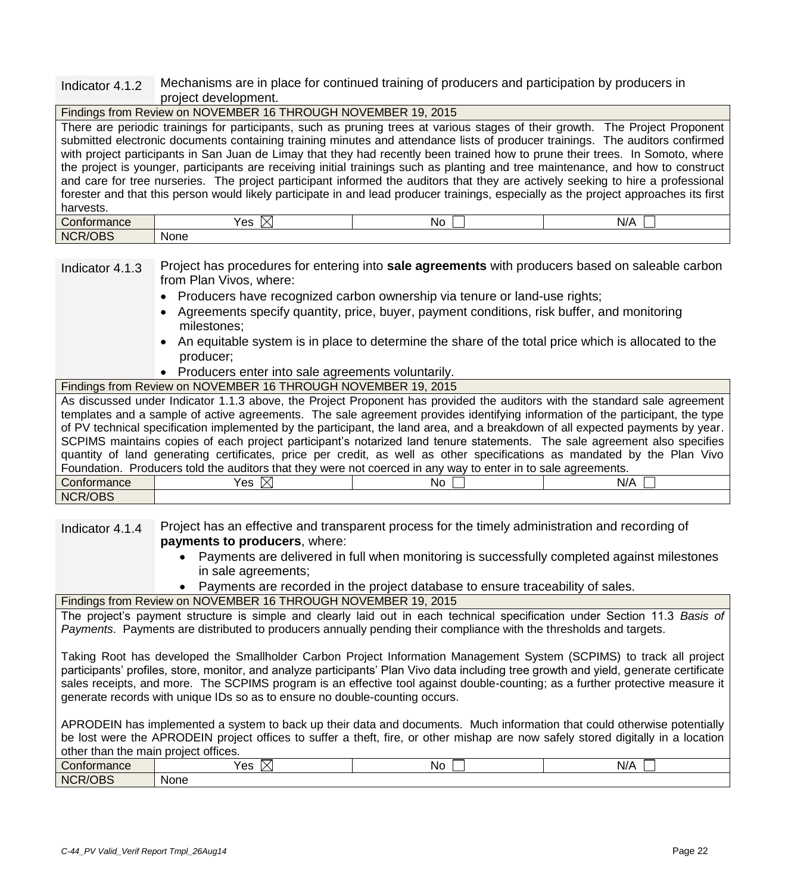#### Indicator 4.1.2 Mechanisms are in place for continued training of producers and participation by producers in project development.

|                                                                                                                                       | Findings from Review on NOVEMBER 16 THROUGH NOVEMBER 19, 2015                                                                    |      |       |
|---------------------------------------------------------------------------------------------------------------------------------------|----------------------------------------------------------------------------------------------------------------------------------|------|-------|
|                                                                                                                                       | There are periodic trainings for participants, such as pruning trees at various stages of their growth. The Project Proponent    |      |       |
|                                                                                                                                       | submitted electronic documents containing training minutes and attendance lists of producer trainings. The auditors confirmed    |      |       |
|                                                                                                                                       | with project participants in San Juan de Limay that they had recently been trained how to prune their trees. In Somoto, where    |      |       |
|                                                                                                                                       | the project is younger, participants are receiving initial trainings such as planting and tree maintenance, and how to construct |      |       |
| and care for tree nurseries. The project participant informed the auditors that they are actively seeking to hire a professional      |                                                                                                                                  |      |       |
| forester and that this person would likely participate in and lead producer trainings, especially as the project approaches its first |                                                                                                                                  |      |       |
| harvests.                                                                                                                             |                                                                                                                                  |      |       |
| Conformance                                                                                                                           | Yes $\boxtimes$                                                                                                                  | No L | N/A I |
| NCR/OBS                                                                                                                               | None                                                                                                                             |      |       |

Indicator 4.1.3 Project has procedures for entering into **sale agreements** with producers based on saleable carbon from Plan Vivos, where:

- Producers have recognized carbon ownership via tenure or land-use rights;
- Agreements specify quantity, price, buyer, payment conditions, risk buffer, and monitoring milestones;
- An equitable system is in place to determine the share of the total price which is allocated to the producer;
- Producers enter into sale agreements voluntarily.
- Findings from Review on NOVEMBER 16 THROUGH NOVEMBER 19, 2015

|                                                                                                                               | As discussed under Indicator 1.1.3 above, the Project Proponent has provided the auditors with the standard sale agreement     |      |     |
|-------------------------------------------------------------------------------------------------------------------------------|--------------------------------------------------------------------------------------------------------------------------------|------|-----|
| templates and a sample of active agreements. The sale agreement provides identifying information of the participant, the type |                                                                                                                                |      |     |
|                                                                                                                               | of PV technical specification implemented by the participant, the land area, and a breakdown of all expected payments by year. |      |     |
|                                                                                                                               | SCPIMS maintains copies of each project participant's notarized land tenure statements. The sale agreement also specifies      |      |     |
| quantity of land generating certificates, price per credit, as well as other specifications as mandated by the Plan Vivo      |                                                                                                                                |      |     |
|                                                                                                                               | Foundation. Producers told the auditors that they were not coerced in any way to enter in to sale agreements.                  |      |     |
| Conformance                                                                                                                   | Yes $\boxtimes$                                                                                                                | No I | N/A |
| <b>NCR/OBS</b>                                                                                                                |                                                                                                                                |      |     |

Indicator 4.1.4 Project has an effective and transparent process for the timely administration and recording of **payments to producers**, where:

- Payments are delivered in full when monitoring is successfully completed against milestones in sale agreements;
- Payments are recorded in the project database to ensure traceability of sales.

## Findings from Review on NOVEMBER 16 THROUGH NOVEMBER 19, 2015

The project's payment structure is simple and clearly laid out in each technical specification under Section 11.3 *Basis of Payments*. Payments are distributed to producers annually pending their compliance with the thresholds and targets.

Taking Root has developed the Smallholder Carbon Project Information Management System (SCPIMS) to track all project participants' profiles, store, monitor, and analyze participants' Plan Vivo data including tree growth and yield, generate certificate sales receipts, and more. The SCPIMS program is an effective tool against double-counting; as a further protective measure it generate records with unique IDs so as to ensure no double-counting occurs.

APRODEIN has implemented a system to back up their data and documents. Much information that could otherwise potentially be lost were the APRODEIN project offices to suffer a theft, fire, or other mishap are now safely stored digitally in a location other than the main project offices.

| $\sim$<br>Conformance                            | $\sqrt{c}$<br>$\sim$<br>ت ب | N | $\cdots$<br>N/A |
|--------------------------------------------------|-----------------------------|---|-----------------|
| $I \cap D C$<br>NC <sup>r</sup><br>:R/(<br>'' JB | <b>None</b>                 |   |                 |